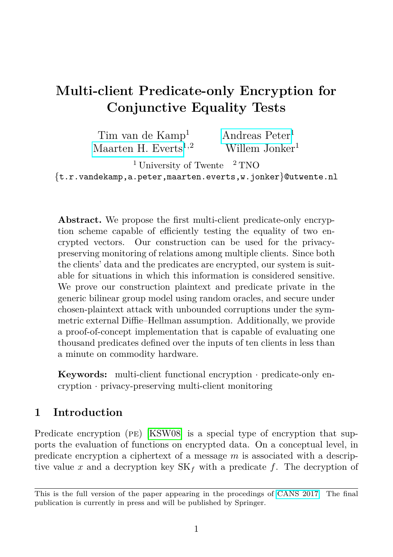# **Multi-client Predicate-only Encryption for Conjunctive Equality Tests**

Tim van de Kamp<sup>1</sup> [Andreas Peter](https://orcid.org/0000-0003-2929-5001)<sup>1</sup><br>Maarten H. Everts<sup>1,2</sup> Willem Jonker<sup>1</sup> [Maarten H. Everts](https://orcid.org/0000-0002-5302-8985) $^{1,2}$ 

<sup>1</sup> University of Twente  $\frac{2 \text{ TNO}}{}$ 

{t.r.vandekamp,a.peter,maarten.everts,w.jonker}@utwente.nl

**Abstract.** We propose the first multi-client predicate-only encryption scheme capable of efficiently testing the equality of two encrypted vectors. Our construction can be used for the privacypreserving monitoring of relations among multiple clients. Since both the clients' data and the predicates are encrypted, our system is suitable for situations in which this information is considered sensitive. We prove our construction plaintext and predicate private in the generic bilinear group model using random oracles, and secure under chosen-plaintext attack with unbounded corruptions under the symmetric external Diffie–Hellman assumption. Additionally, we provide a proof-of-concept implementation that is capable of evaluating one thousand predicates defined over the inputs of ten clients in less than a minute on commodity hardware.

**Keywords:** multi-client functional encryption · predicate-only encryption · privacy-preserving multi-client monitoring

# **1 Introduction**

Predicate encryption (PE) [\[KSW08\]](#page-19-0) is a special type of encryption that supports the evaluation of functions on encrypted data. On a conceptual level, in predicate encryption a ciphertext of a message *m* is associated with a descriptive value x and a decryption key  $SK_f$  with a predicate f. The decryption of

This is the full version of the paper appearing in the procedings of [CANS 2017.](http://crypto.ie.cuhk.edu.hk/cans17/) The final publication is currently in press and will be published by Springer.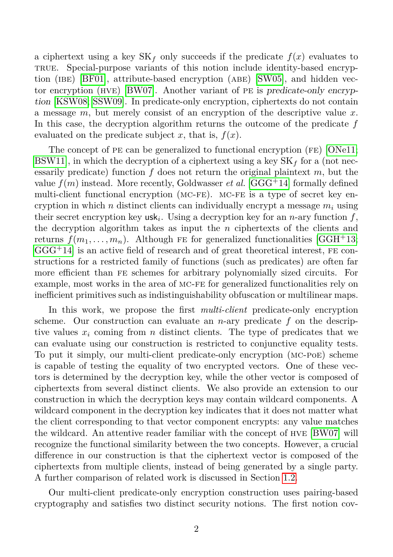a ciphertext using a key  $SK_f$  only succeeds if the predicate  $f(x)$  evaluates to true. Special-purpose variants of this notion include identity-based encryption (ibe) [\[BF01\]](#page-18-0), attribute-based encryption (abe) [\[SW05\]](#page-21-0), and hidden vector encryption (hve) [\[BW07\]](#page-18-1). Another variant of pe is predicate-only encryption [\[KSW08;](#page-19-0) [SSW09\]](#page-21-1). In predicate-only encryption, ciphertexts do not contain a message *m*, but merely consist of an encryption of the descriptive value *x*. In this case, the decryption algorithm returns the outcome of the predicate *f* evaluated on the predicate subject  $x$ , that is,  $f(x)$ .

The concept of PE can be generalized to functional encryption  $(FE)$  [\[ONe11;](#page-20-0) [BSW11\]](#page-18-2), in which the decryption of a ciphertext using a key  $SK<sub>f</sub>$  for a (not necessarily predicate) function *f* does not return the original plaintext *m*, but the value  $f(m)$  instead. More recently, Goldwasser *et al.* [\[GGG](#page-19-1)<sup>+</sup>14] formally defined multi-client functional encryption (MC-FE). MC-FE is a type of secret key encryption in which *n* distinct clients can individually encrypt a message  $m_i$  using their secret encryption key  $\text{usk}_i$ . Using a decryption key for an *n*-ary function  $f$ , the decryption algorithm takes as input the *n* ciphertexts of the clients and returns  $f(m_1, \ldots, m_n)$ . Although FE for generalized functionalities [\[GGH](#page-19-2)+13;  $GGG+14$  $GGG+14$  is an active field of research and of great theoretical interest, FE constructions for a restricted family of functions (such as predicates) are often far more efficient than FE schemes for arbitrary polynomially sized circuits. For example, most works in the area of MC-FE for generalized functionalities rely on inefficient primitives such as indistinguishability obfuscation or multilinear maps.

In this work, we propose the first *multi-client* predicate-only encryption scheme. Our construction can evaluate an *n*-ary predicate *f* on the descriptive values  $x_i$  coming from *n* distinct clients. The type of predicates that we can evaluate using our construction is restricted to conjunctive equality tests. To put it simply, our multi-client predicate-only encryption (MC-POE) scheme is capable of testing the equality of two encrypted vectors. One of these vectors is determined by the decryption key, while the other vector is composed of ciphertexts from several distinct clients. We also provide an extension to our construction in which the decryption keys may contain wildcard components. A wildcard component in the decryption key indicates that it does not matter what the client corresponding to that vector component encrypts: any value matches the wildcard. An attentive reader familiar with the concept of hve [\[BW07\]](#page-18-1) will recognize the functional similarity between the two concepts. However, a crucial difference in our construction is that the ciphertext vector is composed of the ciphertexts from multiple clients, instead of being generated by a single party. A further comparison of related work is discussed in Section [1.2.](#page-3-0)

Our multi-client predicate-only encryption construction uses pairing-based cryptography and satisfies two distinct security notions. The first notion cov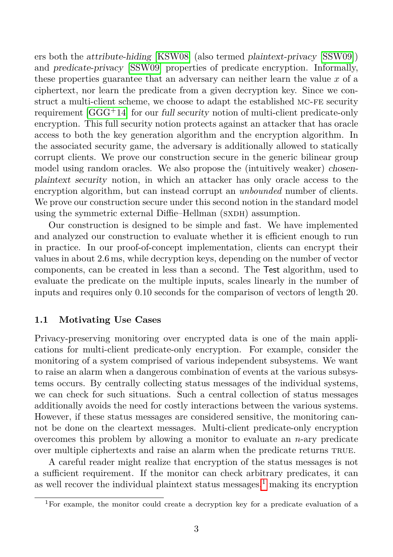ers both the attribute-hiding [\[KSW08\]](#page-19-0) (also termed plaintext-privacy [\[SSW09\]](#page-21-1)) and predicate-privacy [\[SSW09\]](#page-21-1) properties of predicate encryption. Informally, these properties guarantee that an adversary can neither learn the value *x* of a ciphertext, nor learn the predicate from a given decryption key. Since we construct a multi-client scheme, we choose to adapt the established MC-FE security requirement  $[GGG<sup>+</sup>14]$  $[GGG<sup>+</sup>14]$  for our full security notion of multi-client predicate-only encryption. This full security notion protects against an attacker that has oracle access to both the key generation algorithm and the encryption algorithm. In the associated security game, the adversary is additionally allowed to statically corrupt clients. We prove our construction secure in the generic bilinear group model using random oracles. We also propose the (intuitively weaker) chosenplaintext security notion, in which an attacker has only oracle access to the encryption algorithm, but can instead corrupt an *unbounded* number of clients. We prove our construction secure under this second notion in the standard model using the symmetric external Diffie–Hellman (SXDH) assumption.

Our construction is designed to be simple and fast. We have implemented and analyzed our construction to evaluate whether it is efficient enough to run in practice. In our proof-of-concept implementation, clients can encrypt their values in about 2*.*6 ms, while decryption keys, depending on the number of vector components, can be created in less than a second. The Test algorithm, used to evaluate the predicate on the multiple inputs, scales linearly in the number of inputs and requires only 0.10 seconds for the comparison of vectors of length 20.

#### <span id="page-2-1"></span>**1.1 Motivating Use Cases**

Privacy-preserving monitoring over encrypted data is one of the main applications for multi-client predicate-only encryption. For example, consider the monitoring of a system comprised of various independent subsystems. We want to raise an alarm when a dangerous combination of events at the various subsystems occurs. By centrally collecting status messages of the individual systems, we can check for such situations. Such a central collection of status messages additionally avoids the need for costly interactions between the various systems. However, if these status messages are considered sensitive, the monitoring cannot be done on the cleartext messages. Multi-client predicate-only encryption overcomes this problem by allowing a monitor to evaluate an *n*-ary predicate over multiple ciphertexts and raise an alarm when the predicate returns true.

A careful reader might realize that encryption of the status messages is not a sufficient requirement. If the monitor can check arbitrary predicates, it can as well recover the individual plaintext status messages, $<sup>1</sup>$  $<sup>1</sup>$  $<sup>1</sup>$  making its encryption</sup>

<span id="page-2-0"></span><sup>1</sup>For example, the monitor could create a decryption key for a predicate evaluation of a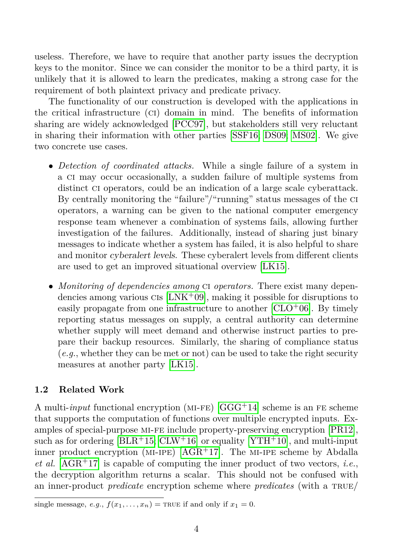useless. Therefore, we have to require that another party issues the decryption keys to the monitor. Since we can consider the monitor to be a third party, it is unlikely that it is allowed to learn the predicates, making a strong case for the requirement of both plaintext privacy and predicate privacy.

The functionality of our construction is developed with the applications in the critical infrastructure (ci) domain in mind. The benefits of information sharing are widely acknowledged [\[PCC97\]](#page-20-1), but stakeholders still very reluctant in sharing their information with other parties [\[SSF16;](#page-21-2) [DS09;](#page-19-3) [MS02\]](#page-20-2). We give two concrete use cases.

- *Detection of coordinated attacks.* While a single failure of a system in a ci may occur occasionally, a sudden failure of multiple systems from distinct ci operators, could be an indication of a large scale cyberattack. By centrally monitoring the "failure"/"running" status messages of the ci operators, a warning can be given to the national computer emergency response team whenever a combination of systems fails, allowing further investigation of the failures. Additionally, instead of sharing just binary messages to indicate whether a system has failed, it is also helpful to share and monitor cyberalert levels. These cyberalert levels from different clients are used to get an improved situational overview [\[LK15\]](#page-19-4).
- *Monitoring of dependencies among* ci *operators.* There exist many dependencies among various  $CIS [LNK^+09]$  $CIS [LNK^+09]$  $CIS [LNK^+09]$ , making it possible for disruptions to easily propagate from one infrastructure to another  $[CLO<sup>+</sup>06]$  $[CLO<sup>+</sup>06]$ . By timely reporting status messages on supply, a central authority can determine whether supply will meet demand and otherwise instruct parties to prepare their backup resources. Similarly, the sharing of compliance status (*e.g.*, whether they can be met or not) can be used to take the right security measures at another party [\[LK15\]](#page-19-4).

#### <span id="page-3-0"></span>**1.2 Related Work**

A multi-*input* functional encryption (MI-FE) [\[GGG](#page-19-1)<sup>+</sup>14] scheme is an fe scheme that supports the computation of functions over multiple encrypted inputs. Examples of special-purpose MI-FE include property-preserving encryption [\[PR12\]](#page-20-3), such as for ordering [\[BLR](#page-18-4)+15; [CLW](#page-18-5)+16] or equality [\[YTH](#page-21-3)+10], and multi-input inner product encryption (MI-IPE)  $[AGR^+17]$  $[AGR^+17]$ . The MI-IPE scheme by Abdalla *et al.*  $[AGR+17]$  $[AGR+17]$  is capable of computing the inner product of two vectors, *i.e.*, the decryption algorithm returns a scalar. This should not be confused with an inner-product *predicate* encryption scheme where *predicates* (with a TRUE)

single message, *e.g.*,  $f(x_1, \ldots, x_n) = \text{TRUE if and only if } x_1 = 0$ .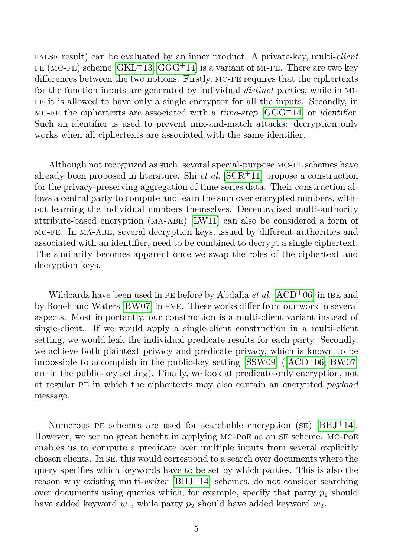false result) can be evaluated by an inner product. A private-key, multi-*client* FE (MC-FE) scheme  $[GKL^+13; GGG^+14]$  $[GKL^+13; GGG^+14]$  $[GKL^+13; GGG^+14]$  $[GKL^+13; GGG^+14]$  is a variant of MI-FE. There are two key differences between the two notions. Firstly, MC-FE requires that the ciphertexts for the function inputs are generated by individual *distinct* parties, while in MI-FE it is allowed to have only a single encryptor for all the inputs. Secondly, in MC-FE the ciphertexts are associated with a time-step  $[GGG<sup>+</sup>14]$  $[GGG<sup>+</sup>14]$  or identifier. Such an identifier is used to prevent mix-and-match attacks: decryption only works when all ciphertexts are associated with the same identifier.

Although not recognized as such, several special-purpose MC-FE schemes have already been proposed in literature. Shi *et al.*  $[SCR<sup>+</sup>11]$  $[SCR<sup>+</sup>11]$  propose a construction for the privacy-preserving aggregation of time-series data. Their construction allows a central party to compute and learn the sum over encrypted numbers, without learning the individual numbers themselves. Decentralized multi-authority attribute-based encryption (MA-ABE) [\[LW11\]](#page-20-5) can also be considered a form of MC-FE. In MA-ABE, several decryption keys, issued by different authorities and associated with an identifier, need to be combined to decrypt a single ciphertext. The similarity becomes apparent once we swap the roles of the ciphertext and decryption keys.

Wildcards have been used in PE before by Abdalla *et al.* [\[ACD](#page-17-1)<sup>+</sup>06] in IBE and by Boneh and Waters [\[BW07\]](#page-18-1) in hve. These works differ from our work in several aspects. Most importantly, our construction is a multi-client variant instead of single-client. If we would apply a single-client construction in a multi-client setting, we would leak the individual predicate results for each party. Secondly, we achieve both plaintext privacy and predicate privacy, which is known to be impossible to accomplish in the public-key setting  $[SSW09]$  ( $[ACD<sup>+</sup>06$  $[ACD<sup>+</sup>06$ ; BW07) are in the public-key setting). Finally, we look at predicate-only encryption, not at regular pe in which the ciphertexts may also contain an encrypted payload message.

Numerous PE schemes are used for searchable encryption (SE)  $[BHJ^+14]$  $[BHJ^+14]$ . However, we see no great benefit in applying MC-PoE as an se scheme. MC-PoE enables us to compute a predicate over multiple inputs from several explicitly chosen clients. In se, this would correspond to a search over documents where the query specifies which keywords have to be set by which parties. This is also the reason why existing multi-*writer* [\[BHJ](#page-18-6)<sup>+</sup>14] schemes, do not consider searching over documents using queries which, for example, specify that party  $p_1$  should have added keyword *w*1, while party *p*<sup>2</sup> should have added keyword *w*2.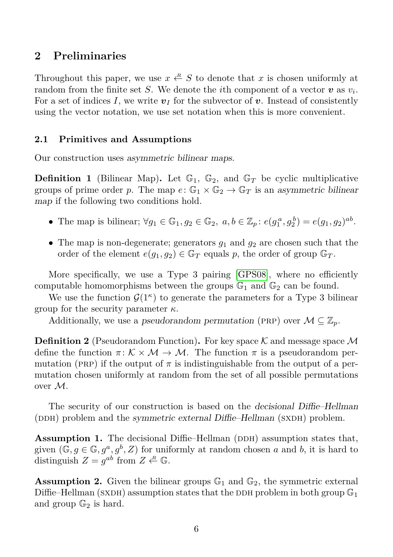# **2 Preliminaries**

Throughout this paper, we use  $x \leftarrow R} S$  to denote that *x* is chosen uniformly at random from the finite set *S*. We denote the *i*th component of a vector *v* as *v<sup>i</sup>* . For a set of indices *I*, we write  $v<sub>I</sub>$  for the subvector of *v*. Instead of consistently using the vector notation, we use set notation when this is more convenient.

#### **2.1 Primitives and Assumptions**

Our construction uses asymmetric bilinear maps.

**Definition 1** (Bilinear Map). Let  $\mathbb{G}_1$ ,  $\mathbb{G}_2$ , and  $\mathbb{G}_T$  be cyclic multiplicative groups of prime order p. The map  $e: \mathbb{G}_1 \times \mathbb{G}_2 \to \mathbb{G}_T$  is an asymmetric bilinear map if the following two conditions hold.

- The map is bilinear;  $\forall g_1 \in \mathbb{G}_1, g_2 \in \mathbb{G}_2, a, b \in \mathbb{Z}_p$ :  $e(g_1^a, g_2^b) = e(g_1, g_2)^{ab}$ .
- The map is non-degenerate; generators  $q_1$  and  $q_2$  are chosen such that the order of the element  $e(g_1, g_2) \in \mathbb{G}_T$  equals p, the order of group  $\mathbb{G}_T$ .

More specifically, we use a Type 3 pairing [\[GPS08\]](#page-19-7), where no efficiently computable homomorphisms between the groups  $\mathbb{G}_1$  and  $\mathbb{G}_2$  can be found.

We use the function  $\mathcal{G}(1^{\kappa})$  to generate the parameters for a Type 3 bilinear group for the security parameter *κ*.

Additionally, we use a *pseudorandom permutation* (PRP) over  $\mathcal{M} \subseteq \mathbb{Z}_n$ .

**Definition 2** (Pseudorandom Function). For key space  $K$  and message space  $M$ define the function  $\pi: \mathcal{K} \times \mathcal{M} \rightarrow \mathcal{M}$ . The function  $\pi$  is a pseudorandom permutation (PRP) if the output of  $\pi$  is indistinguishable from the output of a permutation chosen uniformly at random from the set of all possible permutations over M.

The security of our construction is based on the decisional Diffie–Hellman (DDH) problem and the symmetric external Diffie–Hellman (SXDH) problem.

**Assumption 1.** The decisional Diffie–Hellman (DDH) assumption states that, given  $(\mathbb{G}, g \in \mathbb{G}, g^a, g^b, Z)$  for uniformly at random chosen *a* and *b*, it is hard to distinguish  $Z = g^{ab}$  from  $Z \stackrel{R}{\leftarrow} \mathbb{G}$ .

**Assumption 2.** Given the bilinear groups  $\mathbb{G}_1$  and  $\mathbb{G}_2$ , the symmetric external Diffie–Hellman (SXDH) assumption states that the DDH problem in both group  $\mathbb{G}_1$ and group  $\mathbb{G}_2$  is hard.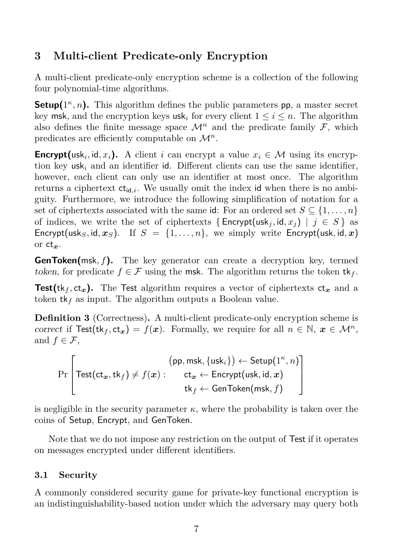# **3 Multi-client Predicate-only Encryption**

A multi-client predicate-only encryption scheme is a collection of the following four polynomial-time algorithms.

**Setup(** $1^{\kappa}$ **,** *n***).** This algorithm defines the public parameters pp, a master secret key msk, and the encryption keys usk<sub>i</sub> for every client  $1 \leq i \leq n$ . The algorithm also defines the finite message space  $\mathcal{M}^n$  and the predicate family  $\mathcal{F}$ , which predicates are efficiently computable on  $\mathcal{M}^n$ .

**Encrypt(**usk<sub>*i*</sub>, id, *x*<sub>*i*</sub>**)**. A client *i* can encrypt a value  $x_i \in M$  using its encryption key usk<sub>i</sub> and an identifier id. Different clients can use the same identifier, however, each client can only use an identifier at most once. The algorithm returns a ciphertext  $ct_{id}$ . We usually omit the index id when there is no ambiguity. Furthermore, we introduce the following simplification of notation for a set of ciphertexts associated with the same id: For an ordered set  $S \subseteq \{1, \ldots, n\}$ of indices, we write the set of ciphertexts  $\{ \text{Encrypt}(\text{usk}_i, \text{id}, x_i) \mid i \in S \}$  as Encrypt(usk<sub>*S*</sub>, id,  $x_S$ ). If  $S = \{1, \ldots, n\}$ , we simply write Encrypt(usk, id, x) or ct*x*.

**GenToken(**msk*, f***).** The key generator can create a decryption key, termed token, for predicate  $f \in \mathcal{F}$  using the msk. The algorithm returns the token  $tk_f$ .

**Test(**tk<sub>f</sub>, ct<sub>x</sub>). The Test algorithm requires a vector of ciphertexts  $ct_x$  and a token  $t \cdot k_f$  as input. The algorithm outputs a Boolean value.

**Definition 3** (Correctness)**.** A multi-client predicate-only encryption scheme is correct if  $\text{Test}(\mathsf{tk}_f, \mathsf{ct}_x) = f(x)$ . Formally, we require for all  $n \in \mathbb{N}, x \in \mathcal{M}^n$ , and  $f \in \mathcal{F}$ ,

$$
\Pr\left[\text{Test}(\text{ct}_x,\text{tk}_f)\neq f(x): \begin{matrix} \text{(pp, msk, \{usk_i\})} \leftarrow \text{Setup}(1^\kappa, n) \\ \text{ct}_x \leftarrow \text{Encrypt}(\text{usk}, \text{id}, x) \\ \text{tk}_f \leftarrow \text{GenToken}(\text{msk}, f) \end{matrix}\right]\right]
$$

is negligible in the security parameter  $\kappa$ , where the probability is taken over the coins of Setup, Encrypt, and GenToken.

Note that we do not impose any restriction on the output of Test if it operates on messages encrypted under different identifiers.

### **3.1 Security**

A commonly considered security game for private-key functional encryption is an indistinguishability-based notion under which the adversary may query both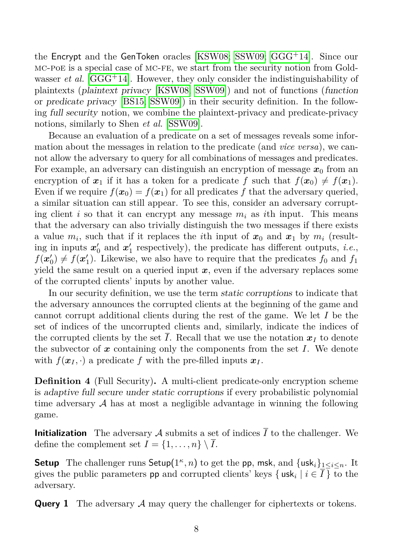the Encrypt and the GenToken oracles [\[KSW08;](#page-19-0) [SSW09;](#page-21-1) [GGG](#page-19-1)<sup>+</sup>14]. Since our MC-PoE is a special case of MC-FE, we start from the security notion from Goldwasser *et al.* [\[GGG](#page-19-1)<sup>+</sup>14]. However, they only consider the indistinguishability of plaintexts (plaintext privacy [\[KSW08;](#page-19-0) [SSW09\]](#page-21-1)) and not of functions (function or predicate privacy [\[BS15;](#page-18-7) [SSW09\]](#page-21-1)) in their security definition. In the following full security notion, we combine the plaintext-privacy and predicate-privacy notions, similarly to Shen *et al.* [\[SSW09\]](#page-21-1).

Because an evaluation of a predicate on a set of messages reveals some information about the messages in relation to the predicate (and *vice versa*), we cannot allow the adversary to query for all combinations of messages and predicates. For example, an adversary can distinguish an encryption of message  $x_0$  from an encryption of  $x_1$  if it has a token for a predicate f such that  $f(x_0) \neq f(x_1)$ . Even if we require  $f(x_0) = f(x_1)$  for all predicates f that the adversary queried, a similar situation can still appear. To see this, consider an adversary corrupting client *i* so that it can encrypt any message *m<sup>i</sup>* as *i*th input. This means that the adversary can also trivially distinguish the two messages if there exists a value  $m_i$ , such that if it replaces the *i*th input of  $x_0$  and  $x_1$  by  $m_i$  (resulting in inputs  $x'_0$  and  $x'_1$  respectively), the predicate has different outputs, *i.e.*,  $f(\mathbf{x}'_0) \neq f(\mathbf{x}'_1)$ . Likewise, we also have to require that the predicates  $f_0$  and  $f_1$ yield the same result on a queried input  $x$ , even if the adversary replaces some of the corrupted clients' inputs by another value.

In our security definition, we use the term static corruptions to indicate that the adversary announces the corrupted clients at the beginning of the game and cannot corrupt additional clients during the rest of the game. We let *I* be the set of indices of the uncorrupted clients and, similarly, indicate the indices of the corrupted clients by the set  $\overline{I}$ . Recall that we use the notation  $x_I$  to denote the subvector of *x* containing only the components from the set *I*. We denote with  $f(\mathbf{x}_I, \cdot)$  a predicate f with the pre-filled inputs  $\mathbf{x}_I$ .

<span id="page-7-0"></span>**Definition 4** (Full Security). A multi-client predicate-only encryption scheme is adaptive full secure under static corruptions if every probabilistic polynomial time adversary  $\mathcal A$  has at most a negligible advantage in winning the following game.

**Initialization** The adversary  $A$  submits a set of indices  $\overline{I}$  to the challenger. We define the complement set  $I = \{1, \ldots, n\} \setminus \overline{I}$ .

**Setup** The challenger runs Setup( $1^{\kappa}, n$ ) to get the pp, msk, and  $\{u s k_i\}_{1 \leq i \leq n}$ . It gives the public parameters **pp** and corrupted clients' keys  $\{ \text{usk}_i \mid i \in I \}$  to the adversary.

**Query 1** The adversary A may query the challenger for ciphertexts or tokens.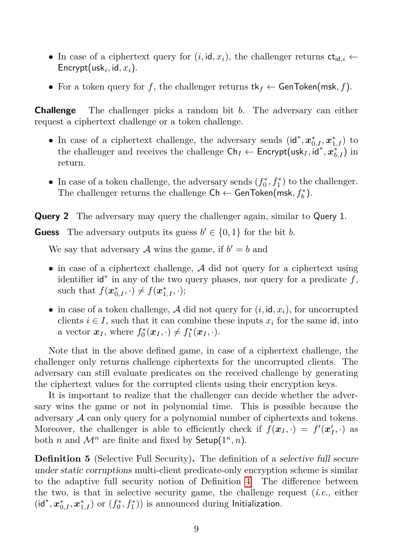- In case of a ciphertext query for  $(i, id, x_i)$ , the challenger returns  $ct_{id,i} \leftarrow$  $\mathsf{Encrypt}(\mathsf{usk}_i, \mathsf{id}, x_i).$
- For a token query for f, the challenger returns  $\mathsf{tk}_f \leftarrow \mathsf{GenToken}(\mathsf{msk}, f)$ .

**Challenge** The challenger picks a random bit *b*. The adversary can either request a ciphertext challenge or a token challenge.

- In case of a ciphertext challenge, the adversary sends  $(\mathsf{id}^*, \mathbf{x}_{0,I}^*, \mathbf{x}_{1,I}^*)$  to the challenger and receives the challenge  $Ch_I \leftarrow \text{Encrypt}(\text{usk}_I, \text{id}^*, x_{b,I}^*)$  in return.
- In case of a token challenge, the adversary sends  $(f_0^*, f_1^*)$  to the challenger. The challenger returns the challenge  $\mathsf{Ch} \leftarrow \mathsf{GenToken}(\mathsf{msk}, f_b^*)$ .

**Query 2** The adversary may query the challenger again, similar to Query 1.

**Guess** The adversary outputs its guess  $b' \in \{0, 1\}$  for the bit *b*.

We say that adversary  $A$  wins the game, if  $b' = b$  and

- in case of a ciphertext challenge, A did not query for a ciphertext using identifier id<sup>∗</sup> in any of the two query phases, nor query for a predicate *f*, such that  $f(x_{0,I}^*, \cdot) \neq f(x_{1,I}^*, \cdot);$
- in case of a token challenge, A did not query for  $(i, id, x_i)$ , for uncorrupted clients  $i \in I$ , such that it can combine these inputs  $x_i$  for the same id, into a vector  $\mathbf{x}_I$ , where  $f_0^*(\mathbf{x}_I, \cdot) \neq f_1^*(\mathbf{x}_I, \cdot)$ .

Note that in the above defined game, in case of a ciphertext challenge, the challenger only returns challenge ciphertexts for the uncorrupted clients. The adversary can still evaluate predicates on the received challenge by generating the ciphertext values for the corrupted clients using their encryption keys.

It is important to realize that the challenger can decide whether the adversary wins the game or not in polynomial time. This is possible because the adversary  $A$  can only query for a polynomial number of ciphertexts and tokens. Moreover, the challenger is able to efficiently check if  $f(\mathbf{x}_I, \cdot) = f'(\mathbf{x}'_I, \cdot)$  as both *n* and  $\mathcal{M}^n$  are finite and fixed by  $\mathsf{Setup}(1^{\kappa},n)$ .

<span id="page-8-0"></span>**Definition 5** (Selective Full Security)**.** The definition of a selective full secure under static corruptions multi-client predicate-only encryption scheme is similar to the adaptive full security notion of Definition [4.](#page-7-0) The difference between the two, is that in selective security game, the challenge request (*i.e.*, either  $(\mathsf{id}^*, \boldsymbol{x}_{0,I}^*, \boldsymbol{x}_{1,I}^*)$  or  $(f_0^*, f_1^*)$ ) is announced during Initialization.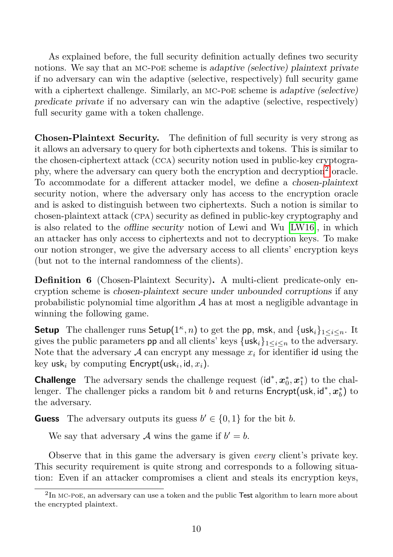As explained before, the full security definition actually defines two security notions. We say that an MC-PoE scheme is adaptive (selective) plaintext private if no adversary can win the adaptive (selective, respectively) full security game with a ciphertext challenge. Similarly, an MC-POE scheme is adaptive (selective) predicate private if no adversary can win the adaptive (selective, respectively) full security game with a token challenge.

**Chosen-Plaintext Security.** The definition of full security is very strong as it allows an adversary to query for both ciphertexts and tokens. This is similar to the chosen-ciphertext attack (cca) security notion used in public-key cryptogra-phy, where the adversary can query both the encryption and decryption<sup>[2](#page-9-0)</sup> oracle. To accommodate for a different attacker model, we define a chosen-plaintext security notion, where the adversary only has access to the encryption oracle and is asked to distinguish between two ciphertexts. Such a notion is similar to chosen-plaintext attack (cpa) security as defined in public-key cryptography and is also related to the offline security notion of Lewi and Wu [\[LW16\]](#page-20-6), in which an attacker has only access to ciphertexts and not to decryption keys. To make our notion stronger, we give the adversary access to all clients' encryption keys (but not to the internal randomness of the clients).

<span id="page-9-1"></span>**Definition 6** (Chosen-Plaintext Security)**.** A multi-client predicate-only encryption scheme is chosen-plaintext secure under unbounded corruptions if any probabilistic polynomial time algorithm  $\mathcal A$  has at most a negligible advantage in winning the following game.

**Setup** The challenger runs Setup( $1^{\kappa}, n$ ) to get the pp, msk, and  $\{u s k_i\}_{1 \leq i \leq n}$ . It gives the public parameters **pp** and all clients' keys  $\{usk_i\}_{1 \leq i \leq n}$  to the adversary. Note that the adversary  $A$  can encrypt any message  $x_i$  for identifier id using the  $\text{key usk}_i$  by computing  $\textsf{Encrypt}(\textsf{usk}_i, \textsf{id}, x_i).$ 

**Challenge** The adversary sends the challenge request  $(\mathbf{id}^*, \mathbf{x}_0^*, \mathbf{x}_1^*)$  to the challenger. The challenger picks a random bit *b* and returns  $\mathsf{Encrypt}(\overline{\mathsf{usk}}, \mathsf{id}^*, \mathbf{x}_b^*)$  to the adversary.

**Guess** The adversary outputs its guess  $b' \in \{0, 1\}$  for the bit *b*.

We say that adversary A wins the game if  $b' = b$ .

Observe that in this game the adversary is given *every* client's private key. This security requirement is quite strong and corresponds to a following situation: Even if an attacker compromises a client and steals its encryption keys,

<span id="page-9-0"></span> $2 \text{In MC-PoE}$ , an adversary can use a token and the public Test algorithm to learn more about the encrypted plaintext.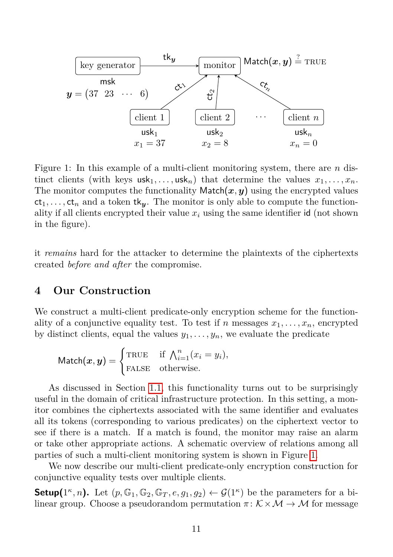

<span id="page-10-0"></span>Figure 1: In this example of a multi-client monitoring system, there are *n* distinct clients (with keys  $usk_1, \ldots, ask_n$ ) that determine the values  $x_1, \ldots, x_n$ . The monitor computes the functionality  $\text{Match}(x, y)$  using the encrypted values  $ct_1, \ldots, ct_n$  and a token  $tk_y$ . The monitor is only able to compute the functionality if all clients encrypted their value  $x_i$  using the same identifier id (not shown in the figure).

it *remains* hard for the attacker to determine the plaintexts of the ciphertexts created *before and after* the compromise.

# **4 Our Construction**

We construct a multi-client predicate-only encryption scheme for the functionality of a conjunctive equality test. To test if *n* messages  $x_1, \ldots, x_n$ , encrypted by distinct clients, equal the values  $y_1, \ldots, y_n$ , we evaluate the predicate

$$
\text{Match}(\boldsymbol{x}, \boldsymbol{y}) = \begin{cases} \text{TRUE} & \text{if } \bigwedge_{i=1}^{n} (x_i = y_i), \\ \text{FALSE} & \text{otherwise.} \end{cases}
$$

As discussed in Section [1.1,](#page-2-1) this functionality turns out to be surprisingly useful in the domain of critical infrastructure protection. In this setting, a monitor combines the ciphertexts associated with the same identifier and evaluates all its tokens (corresponding to various predicates) on the ciphertext vector to see if there is a match. If a match is found, the monitor may raise an alarm or take other appropriate actions. A schematic overview of relations among all parties of such a multi-client monitoring system is shown in Figure [1.](#page-10-0)

We now describe our multi-client predicate-only encryption construction for conjunctive equality tests over multiple clients.

**Setup(** $1^{\kappa}$ , *n*). Let  $(p, \mathbb{G}_1, \mathbb{G}_2, \mathbb{G}_T, e, g_1, g_2) \leftarrow \mathcal{G}(1^{\kappa})$  be the parameters for a bilinear group. Choose a pseudorandom permutation  $\pi: K \times \mathcal{M} \rightarrow \mathcal{M}$  for message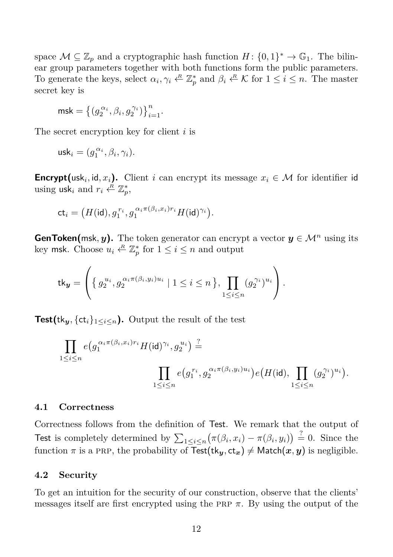space  $\mathcal{M} \subseteq \mathbb{Z}_p$  and a cryptographic hash function  $H: \{0,1\}^* \to \mathbb{G}_1$ . The bilinear group parameters together with both functions form the public parameters. To generate the keys, select  $\alpha_i, \gamma_i \stackrel{R}{\leftarrow} \mathbb{Z}_p^*$  and  $\beta_i \stackrel{R}{\leftarrow} \mathcal{K}$  for  $1 \leq i \leq n$ . The master secret key is

$$
\text{msk}=\left\{\left(g_{2}^{\,\alpha_{i}},\beta_{i},g_{2}^{\,\gamma_{i}}\right)\right\}_{i=1}^{n}.
$$

The secret encryption key for client *i* is

$$
\text{usk}_i=(g_1^{\,\alpha_i},\beta_i,\gamma_i).
$$

**Encrypt(**usk<sub>*i*</sub>, id, *x*<sub>*i*</sub>**)**. Client *i* can encrypt its message  $x_i \in M$  for identifier id using  $\textsf{usk}_i$  and  $r_i \overset{R}{\leftarrow} \mathbb{Z}_p^*$ ,

$$
\mathsf{ct}_i=\bigl(H(\mathsf{id}),g_1^{r_i},g_1^{\alpha_i\pi(\beta_i,x_i)r_i}H(\mathsf{id})^{\gamma_i}\bigr).
$$

**GenToken(**msk, *y*). The token generator can encrypt a vector  $y \in M^n$  using its key msk. Choose  $u_i \stackrel{R}{\leftarrow} \mathbb{Z}_p^*$  for  $1 \leq i \leq n$  and output

$$
\mathrm{tk}_{\mathbf{y}}=\left(\left\{\,g_2^{u_i},g_2^{\,\alpha_i\pi(\beta_i,y_i)u_i}\mid 1\leq i\leq n\,\right\},\prod_{1\leq i\leq n}(g_2^{\,\gamma_i})^{u_i}\right).
$$

**Test(**tk<sub>y</sub>, {ct<sub>*i*</sub>}<sub>1≤*i*≤*n*</sub>}. Output the result of the test

$$
\prod_{1 \leq i \leq n} e(g_1^{\alpha_i \pi(\beta_i, x_i) r_i} H(\mathrm{id})^{\gamma_i}, g_2^{u_i}) \stackrel{?}{=} \\ \prod_{1 \leq i \leq n} e(g_1^{r_i}, g_2^{\alpha_i \pi(\beta_i, y_i) u_i}) e(H(\mathrm{id}), \prod_{1 \leq i \leq n} (g_2^{\gamma_i})^{u_i}).
$$

#### **4.1 Correctness**

Correctness follows from the definition of Test. We remark that the output of Test is completely determined by  $\sum_{1 \leq i \leq n} (\pi(\beta_i, x_i) - \pi(\beta_i, y_i)) \stackrel{?}{=} 0$ . Since the function  $\pi$  is a PRP, the probability of  $\overline{\text{Test}}(\mathsf{tk}_v, \mathsf{ct}_x) \neq \text{Match}(x, y)$  is negligible.

#### **4.2 Security**

To get an intuition for the security of our construction, observe that the clients' messages itself are first encrypted using the PRP  $\pi$ . By using the output of the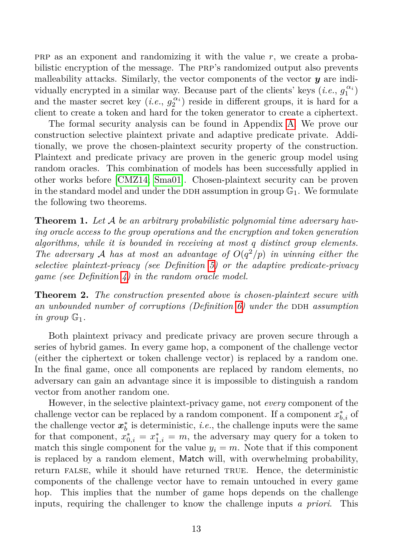prp as an exponent and randomizing it with the value *r*, we create a probabilistic encryption of the message. The prp's randomized output also prevents malleability attacks. Similarly, the vector components of the vector *y* are individually encrypted in a similar way. Because part of the clients' keys  $(i.e., g_1^{\alpha_i})$ and the master secret key  $(i.e., g_2^{\alpha_i})$  reside in different groups, it is hard for a client to create a token and hard for the token generator to create a ciphertext.

The formal security analysis can be found in Appendix [A.](#page-21-4) We prove our construction selective plaintext private and adaptive predicate private. Additionally, we prove the chosen-plaintext security property of the construction. Plaintext and predicate privacy are proven in the generic group model using random oracles. This combination of models has been successfully applied in other works before [\[CMZ14;](#page-18-8) [Sma01\]](#page-21-5). Chosen-plaintext security can be proven in the standard model and under the DDH assumption in group  $\mathbb{G}_1$ . We formulate the following two theorems.

<span id="page-12-0"></span>**Theorem 1.** *Let* A *be an arbitrary probabilistic polynomial time adversary having oracle access to the group operations and the encryption and token generation algorithms, while it is bounded in receiving at most q distinct group elements. The adversary* A *has at most an advantage of*  $O(q^2/p)$  *in winning either the selective plaintext-privacy (see Definition [5\)](#page-8-0) or the adaptive predicate-privacy game (see Definition [4\)](#page-7-0) in the random oracle model.*

<span id="page-12-1"></span>**Theorem 2.** *The construction presented above is chosen-plaintext secure with an unbounded number of corruptions (Definition [6\)](#page-9-1) under the* DDH *assumption in group*  $\mathbb{G}_1$ *.* 

Both plaintext privacy and predicate privacy are proven secure through a series of hybrid games. In every game hop, a component of the challenge vector (either the ciphertext or token challenge vector) is replaced by a random one. In the final game, once all components are replaced by random elements, no adversary can gain an advantage since it is impossible to distinguish a random vector from another random one.

However, in the selective plaintext-privacy game, not *every* component of the challenge vector can be replaced by a random component. If a component  $x_{b,i}^*$  of the challenge vector  $x_b^*$  is deterministic, *i.e.*, the challenge inputs were the same for that component,  $x_{0,i}^* = x_{1,i}^* = m$ , the adversary may query for a token to match this single component for the value  $y_i = m$ . Note that if this component is replaced by a random element, Match will, with overwhelming probability, return false, while it should have returned true. Hence, the deterministic components of the challenge vector have to remain untouched in every game hop. This implies that the number of game hops depends on the challenge inputs, requiring the challenger to know the challenge inputs *a priori*. This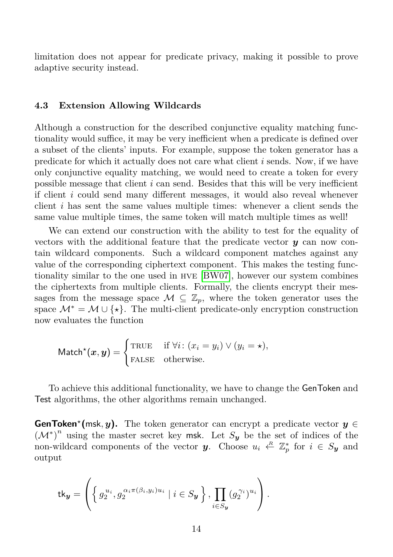limitation does not appear for predicate privacy, making it possible to prove adaptive security instead.

#### **4.3 Extension Allowing Wildcards**

Although a construction for the described conjunctive equality matching functionality would suffice, it may be very inefficient when a predicate is defined over a subset of the clients' inputs. For example, suppose the token generator has a predicate for which it actually does not care what client *i* sends. Now, if we have only conjunctive equality matching, we would need to create a token for every possible message that client *i* can send. Besides that this will be very inefficient if client *i* could send many different messages, it would also reveal whenever client *i* has sent the same values multiple times: whenever a client sends the same value multiple times, the same token will match multiple times as well!

We can extend our construction with the ability to test for the equality of vectors with the additional feature that the predicate vector  $\boldsymbol{\mathit{y}}$  can now contain wildcard components. Such a wildcard component matches against any value of the corresponding ciphertext component. This makes the testing functionality similar to the one used in hve [\[BW07\]](#page-18-1), however our system combines the ciphertexts from multiple clients. Formally, the clients encrypt their messages from the message space  $\mathcal{M} \subseteq \mathbb{Z}_p$ , where the token generator uses the space  $\mathcal{M}^* = \mathcal{M} \cup \{ \star \}.$  The multi-client predicate-only encryption construction now evaluates the function

$$
\text{Match}^{\star}(\boldsymbol{x}, \boldsymbol{y}) = \begin{cases} \text{TRUE} & \text{if } \forall i \colon (x_i = y_i) \lor (y_i = \star), \\ \text{FALSE} & \text{otherwise.} \end{cases}
$$

To achieve this additional functionality, we have to change the GenToken and Test algorithms, the other algorithms remain unchanged.

**GenToken<sup>\*</sup>(msk,** *y***).** The token generator can encrypt a predicate vector  $y \in$  $(\mathcal{M}^*)^n$  using the master secret key msk. Let  $S_y$  be the set of indices of the non-wildcard components of the vector *y*. Choose  $u_i \leftarrow \mathbb{Z}_p^*$  for  $i \in S_y$  and output

$$
\mathrm{tk}_{\mathbf{y}}=\left(\left\{g_2^{u_i},g_2^{\alpha_i\pi(\beta_i,y_i)u_i} \mid i \in S_{\mathbf{y}}\right\},\prod_{i \in S_{\mathbf{y}}}(g_2^{\gamma_i})^{u_i}\right).
$$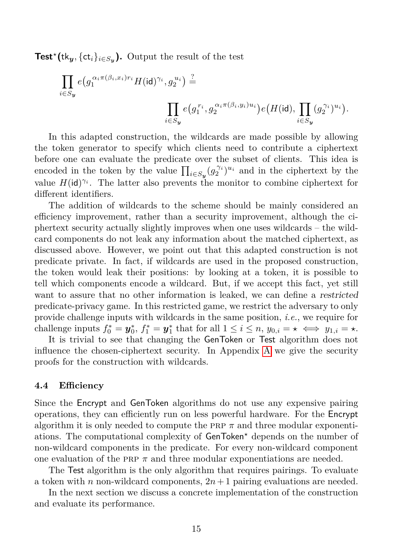**Test**<sup>*\**</sup> (tk<sub>*y*</sub>, {ct<sub>*i*</sub>}<sub>*i*∈*S<sub><i>y*</sub>). Output the result of the test</sub>

$$
\begin{aligned}\prod_{i\in S_{\boldsymbol{y}}}e\big(g_{1}^{\alpha_{i}\pi\left(\beta_{i},x_{i}\right) r_{i}}H(\mathrm{id})^{\gamma_{i}},g_{2}^{u_{i}}\big)\overset{?}{=}\\ \prod_{i\in S_{\boldsymbol{y}}}e\big(g_{1}^{r_{i}},g_{2}^{\alpha_{i}\pi\left(\beta_{i},y_{i}\right)u_{i}}\big)e\big(H(\mathrm{id}),\prod_{i\in S_{\boldsymbol{y}}}(g_{2}^{\gamma_{i}})^{u_{i}}\big).\end{aligned}
$$

In this adapted construction, the wildcards are made possible by allowing the token generator to specify which clients need to contribute a ciphertext before one can evaluate the predicate over the subset of clients. This idea is encoded in the token by the value  $\prod_{i \in S_{y}} (g_i^{\gamma_i})^{u_i}$  and in the ciphertext by the value  $H(\mathsf{id})^{\gamma_i}$ . The latter also prevents the monitor to combine ciphertext for different identifiers.

The addition of wildcards to the scheme should be mainly considered an efficiency improvement, rather than a security improvement, although the ciphertext security actually slightly improves when one uses wildcards – the wildcard components do not leak any information about the matched ciphertext, as discussed above. However, we point out that this adapted construction is not predicate private. In fact, if wildcards are used in the proposed construction, the token would leak their positions: by looking at a token, it is possible to tell which components encode a wildcard. But, if we accept this fact, yet still want to assure that no other information is leaked, we can define a restricted predicate-privacy game. In this restricted game, we restrict the adversary to only provide challenge inputs with wildcards in the same position, *i.e.*, we require for challenge inputs  $f_0^* = \mathbf{y}_0^*, f_1^* = \mathbf{y}_1^*$  that for all  $1 \le i \le n$ ,  $y_{0,i} = \star \iff y_{1,i} = \star$ .

It is trivial to see that changing the GenToken or Test algorithm does not influence the chosen-ciphertext security. In Appendix [A](#page-21-4) we give the security proofs for the construction with wildcards.

#### <span id="page-14-0"></span>**4.4 Efficiency**

Since the Encrypt and GenToken algorithms do not use any expensive pairing operations, they can efficiently run on less powerful hardware. For the Encrypt algorithm it is only needed to compute the PRP  $\pi$  and three modular exponentiations. The computational complexity of GenToken*?* depends on the number of non-wildcard components in the predicate. For every non-wildcard component one evaluation of the PRP  $\pi$  and three modular exponentiations are needed.

The Test algorithm is the only algorithm that requires pairings. To evaluate a token with *n* non-wildcard components,  $2n+1$  pairing evaluations are needed.

In the next section we discuss a concrete implementation of the construction and evaluate its performance.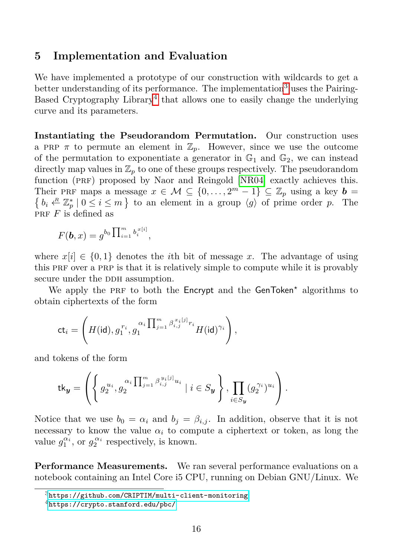### **5 Implementation and Evaluation**

We have implemented a prototype of our construction with wildcards to get a better understanding of its performance. The implementation<sup>[3](#page-15-0)</sup> uses the Pairing-Based Cryptography Library<sup>[4](#page-15-1)</sup> that allows one to easily change the underlying curve and its parameters.

**Instantiating the Pseudorandom Permutation.** Our construction uses a PRP  $\pi$  to permute an element in  $\mathbb{Z}_p$ . However, since we use the outcome of the permutation to exponentiate a generator in  $\mathbb{G}_1$  and  $\mathbb{G}_2$ , we can instead directly map values in  $\mathbb{Z}_n$  to one of these groups respectively. The pseudorandom function (PRF) proposed by Naor and Reingold [\[NR04\]](#page-20-7) exactly achieves this. Their PRF maps a message  $x \in \mathcal{M} \subseteq \{0, \ldots, 2^m - 1\} \subseteq \mathbb{Z}_p$  using a key  $\mathbf{b} =$  $\{b_i \stackrel{R}{\leftarrow} \mathbb{Z}_p^* \mid 0 \leq i \leq m\}$  to an element in a group  $\langle g \rangle$  of prime order *p*. The PRF  $F$  is defined as

$$
F(\mathbf{b},x) = g^{b_0} \prod_{i=1}^m b_i^{x[i]},
$$

where  $x[i] \in \{0,1\}$  denotes the *i*th bit of message *x*. The advantage of using this PRF over a PRP is that it is relatively simple to compute while it is provably secure under the DDH assumption.

We apply the PRF to both the Encrypt and the GenToken<sup>\*</sup> algorithms to obtain ciphertexts of the form

$$
\mathsf{ct}_i = \left( H(\mathsf{id}), g_1^{r_i}, g_1^{\alpha_i} \prod_{j=1}^m \beta_{i,j}^{x_i[j]} r_i H(\mathsf{id})^{\gamma_i} \right),
$$

and tokens of the form

$$
\mathrm{tk}_{\mathbf{y}}=\left(\left\{ \left. g_{2}^{u_{i}},g_{2}^{\alpha_{i}}\prod_{j=1}^{m}\beta_{i,j}^{u_{i}[j]}u_{i} \; \right| \, i\in S_{\mathbf{y}}\right.\right\} ,\prod_{i\in S_{\mathbf{y}}}(g_{2}^{\gamma_{i}})^{u_{i}}\right).
$$

Notice that we use  $b_0 = \alpha_i$  and  $b_i = \beta_{i,i}$ . In addition, observe that it is not necessary to know the value  $\alpha_i$  to compute a ciphertext or token, as long the value  $g_1^{\alpha_i}$ , or  $g_2^{\alpha_i}$  respectively, is known.

**Performance Measurements.** We ran several performance evaluations on a notebook containing an Intel Core i5 CPU, running on Debian GNU/Linux. We

<span id="page-15-0"></span><sup>3</sup><https://github.com/CRIPTIM/multi-client-monitoring>

<span id="page-15-1"></span><sup>4</sup><https://crypto.stanford.edu/pbc/>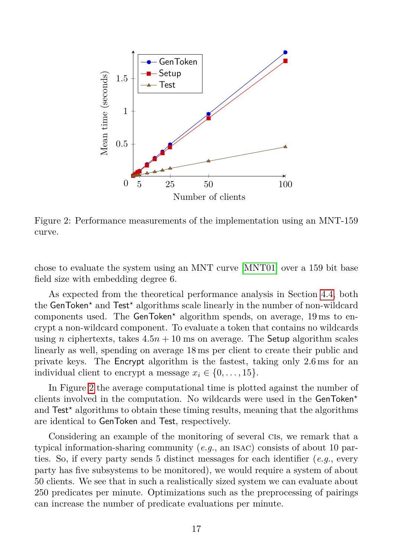

<span id="page-16-0"></span>Figure 2: Performance measurements of the implementation using an MNT-159 curve.

chose to evaluate the system using an MNT curve [\[MNT01\]](#page-20-8) over a 159 bit base field size with embedding degree 6.

As expected from the theoretical performance analysis in Section [4.4,](#page-14-0) both the GenToken*?* and Test*?* algorithms scale linearly in the number of non-wildcard components used. The GenToken*?* algorithm spends, on average, 19 ms to encrypt a non-wildcard component. To evaluate a token that contains no wildcards using *n* ciphertexts, takes  $4.5n + 10$  ms on average. The Setup algorithm scales linearly as well, spending on average 18 ms per client to create their public and private keys. The Encrypt algorithm is the fastest, taking only 2*.*6 ms for an individual client to encrypt a message  $x_i \in \{0, \ldots, 15\}.$ 

In Figure [2](#page-16-0) the average computational time is plotted against the number of clients involved in the computation. No wildcards were used in the GenToken*?* and Test*?* algorithms to obtain these timing results, meaning that the algorithms are identical to GenToken and Test, respectively.

Considering an example of the monitoring of several CIs, we remark that a typical information-sharing community (*e.g.*, an isac) consists of about 10 parties. So, if every party sends 5 distinct messages for each identifier (*e.g.*, every party has five subsystems to be monitored), we would require a system of about 50 clients. We see that in such a realistically sized system we can evaluate about 250 predicates per minute. Optimizations such as the preprocessing of pairings can increase the number of predicate evaluations per minute.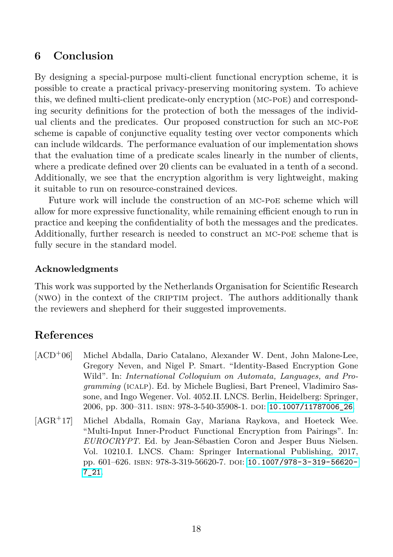# **6 Conclusion**

By designing a special-purpose multi-client functional encryption scheme, it is possible to create a practical privacy-preserving monitoring system. To achieve this, we defined multi-client predicate-only encryption (MC-PoE ) and corresponding security definitions for the protection of both the messages of the individual clients and the predicates. Our proposed construction for such an MC-PoE scheme is capable of conjunctive equality testing over vector components which can include wildcards. The performance evaluation of our implementation shows that the evaluation time of a predicate scales linearly in the number of clients, where a predicate defined over 20 clients can be evaluated in a tenth of a second. Additionally, we see that the encryption algorithm is very lightweight, making it suitable to run on resource-constrained devices.

Future work will include the construction of an MC-PoE scheme which will allow for more expressive functionality, while remaining efficient enough to run in practice and keeping the confidentiality of both the messages and the predicates. Additionally, further research is needed to construct an MC-PoE scheme that is fully secure in the standard model.

#### **Acknowledgments**

This work was supported by the Netherlands Organisation for Scientific Research (NWO) in the context of the CRIPTIM project. The authors additionally thank the reviewers and shepherd for their suggested improvements.

# **References**

- <span id="page-17-1"></span>[ACD<sup>+</sup>06] Michel Abdalla, Dario Catalano, Alexander W. Dent, John Malone-Lee, Gregory Neven, and Nigel P. Smart. "Identity-Based Encryption Gone Wild". In: *International Colloquium on Automata, Languages, and Programming* (icalp). Ed. by Michele Bugliesi, Bart Preneel, Vladimiro Sassone, and Ingo Wegener. Vol. 4052.II. LNCS. Berlin, Heidelberg: Springer, 2006, pp. 300–311. isbn: 978-3-540-35908-1. doi: [10.1007/11787006\\_26](https://doi.org/10.1007/11787006_26).
- <span id="page-17-0"></span>[AGR<sup>+</sup>17] Michel Abdalla, Romain Gay, Mariana Raykova, and Hoeteck Wee. "Multi-Input Inner-Product Functional Encryption from Pairings". In: *EUROCRYPT*. Ed. by Jean-S´ebastien Coron and Jesper Buus Nielsen. Vol. 10210.I. LNCS. Cham: Springer International Publishing, 2017, pp. 601-626. ISBN: 978-3-319-56620-7. DOI: [10.1007/978-3-319-56620-](https://doi.org/10.1007/978-3-319-56620-7_21) [7\\_21](https://doi.org/10.1007/978-3-319-56620-7_21).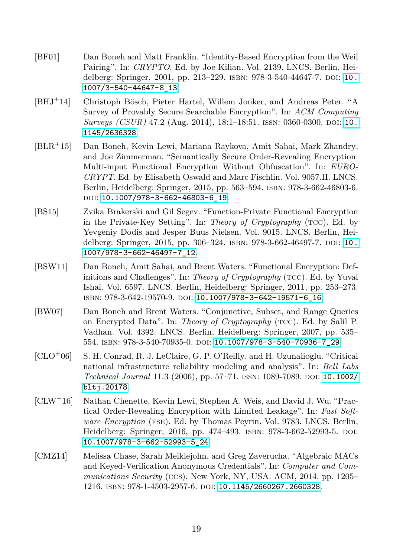- <span id="page-18-0"></span>[BF01] Dan Boneh and Matt Franklin. "Identity-Based Encryption from the Weil Pairing". In: *CRYPTO*. Ed. by Joe Kilian. Vol. 2139. LNCS. Berlin, Hei-delberg: Springer, 2001, pp. 213–229. ISBN: 978-3-540-44647-7. pol: [10.](https://doi.org/10.1007/3-540-44647-8_13) [1007/3-540-44647-8\\_13](https://doi.org/10.1007/3-540-44647-8_13).
- <span id="page-18-6"></span>[BHJ<sup>+</sup>14] Christoph Bösch, Pieter Hartel, Willem Jonker, and Andreas Peter. "A Survey of Provably Secure Searchable Encryption". In: *ACM Computing Surveys (CSUR)* 47.2 (Aug. 2014), 18:1-18:51. ISSN: 0360-0300. DOI: [10.](https://doi.org/10.1145/2636328) [1145/2636328](https://doi.org/10.1145/2636328).
- <span id="page-18-4"></span>[BLR<sup>+</sup>15] Dan Boneh, Kevin Lewi, Mariana Raykova, Amit Sahai, Mark Zhandry, and Joe Zimmerman. "Semantically Secure Order-Revealing Encryption: Multi-input Functional Encryption Without Obfuscation". In: *EURO-CRYPT*. Ed. by Elisabeth Oswald and Marc Fischlin. Vol. 9057.II. LNCS. Berlin, Heidelberg: Springer, 2015, pp. 563–594. isbn: 978-3-662-46803-6. DOI: [10.1007/978-3-662-46803-6\\_19](https://doi.org/10.1007/978-3-662-46803-6_19).
- <span id="page-18-7"></span>[BS15] Zvika Brakerski and Gil Segev. "Function-Private Functional Encryption in the Private-Key Setting". In: *Theory of Cryptography* (TCC). Ed. by Yevgeniy Dodis and Jesper Buus Nielsen. Vol. 9015. LNCS. Berlin, Hei-delberg: Springer, 2015, pp. 306-324. ISBN: 978-3-662-46497-7. DOI: [10.](https://doi.org/10.1007/978-3-662-46497-7_12) [1007/978-3-662-46497-7\\_12](https://doi.org/10.1007/978-3-662-46497-7_12).
- <span id="page-18-2"></span>[BSW11] Dan Boneh, Amit Sahai, and Brent Waters. "Functional Encryption: Definitions and Challenges". In: *Theory of Cryptography* (TCC). Ed. by Yuval Ishai. Vol. 6597. LNCS. Berlin, Heidelberg: Springer, 2011, pp. 253–273. isbn: 978-3-642-19570-9. doi: [10.1007/978-3-642-19571-6\\_16](https://doi.org/10.1007/978-3-642-19571-6_16).
- <span id="page-18-1"></span>[BW07] Dan Boneh and Brent Waters. "Conjunctive, Subset, and Range Queries on Encrypted Data". In: *Theory of Cryptography* (TCC). Ed. by Salil P. Vadhan. Vol. 4392. LNCS. Berlin, Heidelberg: Springer, 2007, pp. 535– 554. isbn: 978-3-540-70935-0. doi: [10.1007/978-3-540-70936-7\\_29](https://doi.org/10.1007/978-3-540-70936-7_29).
- <span id="page-18-3"></span>[CLO<sup>+</sup>06] S. H. Conrad, R. J. LeClaire, G. P. O'Reilly, and H. Uzunalioglu. "Critical national infrastructure reliability modeling and analysis". In: *Bell Labs Technical Journal* 11.3 (2006), pp. 57–71. ISSN: 1089-7089. DOI: [10.1002/](https://doi.org/10.1002/bltj.20178) [bltj.20178](https://doi.org/10.1002/bltj.20178).
- <span id="page-18-5"></span>[CLW<sup>+</sup>16] Nathan Chenette, Kevin Lewi, Stephen A. Weis, and David J. Wu. "Practical Order-Revealing Encryption with Limited Leakage". In: *Fast Software Encryption* (FSE). Ed. by Thomas Peyrin. Vol. 9783. LNCS. Berlin, Heidelberg: Springer, 2016, pp. 474–493. isbn: 978-3-662-52993-5. doi: [10.1007/978-3-662-52993-5\\_24](https://doi.org/10.1007/978-3-662-52993-5_24).
- <span id="page-18-8"></span>[CMZ14] Melissa Chase, Sarah Meiklejohn, and Greg Zaverucha. "Algebraic MACs and Keyed-Verification Anonymous Credentials". In: *Computer and Communications Security* (ccs). New York, NY, USA: ACM, 2014, pp. 1205– 1216. isbn: 978-1-4503-2957-6. doi: [10.1145/2660267.2660328](https://doi.org/10.1145/2660267.2660328).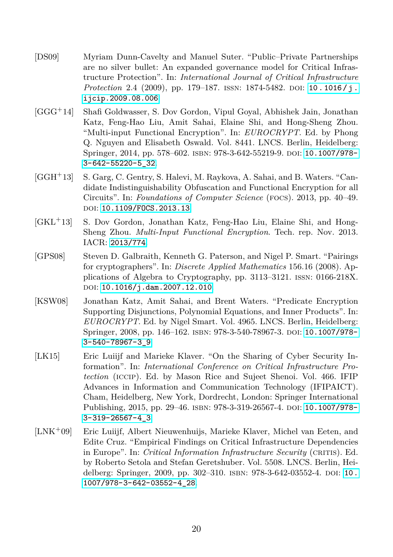- <span id="page-19-3"></span>[DS09] Myriam Dunn-Cavelty and Manuel Suter. "Public–Private Partnerships are no silver bullet: An expanded governance model for Critical Infrastructure Protection". In: *International Journal of Critical Infrastructure Protection* 2.4 (2009), pp. 179–187. ISSN: 1874-5482. DOI: 10.1016/j. [ijcip.2009.08.006](https://doi.org/10.1016/j.ijcip.2009.08.006).
- <span id="page-19-1"></span>[GGG<sup>+</sup>14] Shafi Goldwasser, S. Dov Gordon, Vipul Goyal, Abhishek Jain, Jonathan Katz, Feng-Hao Liu, Amit Sahai, Elaine Shi, and Hong-Sheng Zhou. "Multi-input Functional Encryption". In: *EUROCRYPT*. Ed. by Phong Q. Nguyen and Elisabeth Oswald. Vol. 8441. LNCS. Berlin, Heidelberg: Springer, 2014, pp. 578-602. ISBN: 978-3-642-55219-9. DOI: [10.1007/978-](https://doi.org/10.1007/978-3-642-55220-5_32) [3-642-55220-5\\_32](https://doi.org/10.1007/978-3-642-55220-5_32).
- <span id="page-19-2"></span>[GGH<sup>+</sup>13] S. Garg, C. Gentry, S. Halevi, M. Raykova, A. Sahai, and B. Waters. "Candidate Indistinguishability Obfuscation and Functional Encryption for all Circuits". In: *Foundations of Computer Science* (focs). 2013, pp. 40–49. doi: [10.1109/FOCS.2013.13](https://doi.org/10.1109/FOCS.2013.13).
- <span id="page-19-6"></span>[GKL<sup>+</sup>13] S. Dov Gordon, Jonathan Katz, Feng-Hao Liu, Elaine Shi, and Hong-Sheng Zhou. *Multi-Input Functional Encryption*. Tech. rep. Nov. 2013. IACR: [2013/774](https://eprint.iacr.org/2013/774).
- <span id="page-19-7"></span>[GPS08] Steven D. Galbraith, Kenneth G. Paterson, and Nigel P. Smart. "Pairings for cryptographers". In: *Discrete Applied Mathematics* 156.16 (2008). Applications of Algebra to Cryptography, pp. 3113–3121. issn: 0166-218X. DOI: [10.1016/j.dam.2007.12.010](https://doi.org/10.1016/j.dam.2007.12.010).
- <span id="page-19-0"></span>[KSW08] Jonathan Katz, Amit Sahai, and Brent Waters. "Predicate Encryption Supporting Disjunctions, Polynomial Equations, and Inner Products". In: *EUROCRYPT*. Ed. by Nigel Smart. Vol. 4965. LNCS. Berlin, Heidelberg: Springer, 2008, pp. 146-162. ISBN: 978-3-540-78967-3. DOI: [10.1007/978-](https://doi.org/10.1007/978-3-540-78967-3_9) [3-540-78967-3\\_9](https://doi.org/10.1007/978-3-540-78967-3_9).
- <span id="page-19-4"></span>[LK15] Eric Luiijf and Marieke Klaver. "On the Sharing of Cyber Security Information". In: *International Conference on Critical Infrastructure Protection* (iccip). Ed. by Mason Rice and Sujeet Shenoi. Vol. 466. IFIP Advances in Information and Communication Technology (IFIPAICT). Cham, Heidelberg, New York, Dordrecht, London: Springer International Publishing, 2015, pp. 29–46. isbn: 978-3-319-26567-4. doi: [10.1007/978-](https://doi.org/10.1007/978-3-319-26567-4_3) [3-319-26567-4\\_3](https://doi.org/10.1007/978-3-319-26567-4_3).
- <span id="page-19-5"></span>[LNK<sup>+</sup>09] Eric Luiijf, Albert Nieuwenhuijs, Marieke Klaver, Michel van Eeten, and Edite Cruz. "Empirical Findings on Critical Infrastructure Dependencies in Europe". In: *Critical Information Infrastructure Security* (CRITIS). Ed. by Roberto Setola and Stefan Geretshuber. Vol. 5508. LNCS. Berlin, Hei-delberg: Springer, 2009, pp. 302-3[10.](https://doi.org/10.1007/978-3-642-03552-4_28) ISBN: 978-3-642-03552-4. DOI: 10. [1007/978-3-642-03552-4\\_28](https://doi.org/10.1007/978-3-642-03552-4_28).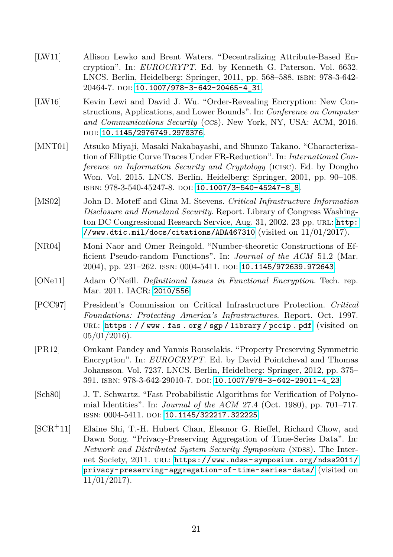<span id="page-20-9"></span><span id="page-20-8"></span><span id="page-20-7"></span><span id="page-20-6"></span><span id="page-20-5"></span><span id="page-20-4"></span><span id="page-20-3"></span><span id="page-20-2"></span><span id="page-20-1"></span><span id="page-20-0"></span>[LW11] Allison Lewko and Brent Waters. "Decentralizing Attribute-Based Encryption". In: *EUROCRYPT*. Ed. by Kenneth G. Paterson. Vol. 6632. LNCS. Berlin, Heidelberg: Springer, 2011, pp. 568–588. isbn: 978-3-642- 20464-7. doi: [10.1007/978-3-642-20465-4\\_31](https://doi.org/10.1007/978-3-642-20465-4_31). [LW16] Kevin Lewi and David J. Wu. "Order-Revealing Encryption: New Constructions, Applications, and Lower Bounds". In: *Conference on Computer and Communications Security* (ccs). New York, NY, USA: ACM, 2016. doi: [10.1145/2976749.2978376](https://doi.org/10.1145/2976749.2978376). [MNT01] Atsuko Miyaji, Masaki Nakabayashi, and Shunzo Takano. "Characterization of Elliptic Curve Traces Under FR-Reduction". In: *International Conference on Information Security and Cryptology* (icisc). Ed. by Dongho Won. Vol. 2015. LNCS. Berlin, Heidelberg: Springer, 2001, pp. 90–108. isbn: 978-3-540-45247-8. doi: [10.1007/3-540-45247-8\\_8](https://doi.org/10.1007/3-540-45247-8_8). [MS02] John D. Moteff and Gina M. Stevens. *Critical Infrastructure Information Disclosure and Homeland Security*. Report. Library of Congress Washington DC Congressional Research Service, Aug. 31, 2002. 23 pp. URL: [http:](http://www.dtic.mil/docs/citations/ADA467310) [//www.dtic.mil/docs/citations/ADA467310](http://www.dtic.mil/docs/citations/ADA467310) (visited on  $11/01/2017$ ). [NR04] Moni Naor and Omer Reingold. "Number-theoretic Constructions of Efficient Pseudo-random Functions". In: *Journal of the ACM* 51.2 (Mar. 2004), pp. 231–262. issn: 0004-5411. doi: [10.1145/972639.972643](https://doi.org/10.1145/972639.972643). [ONe11] Adam O'Neill. *Definitional Issues in Functional Encryption*. Tech. rep. Mar. 2011. IACR: [2010/556](https://eprint.iacr.org/2010/556). [PCC97] President's Commission on Critical Infrastructure Protection. *Critical Foundations: Protecting America's Infrastructures*. Report. Oct. 1997. URL: https://www.fas.org/sgp/library/pccip.pdf (visited on 05/01/2016). [PR12] Omkant Pandey and Yannis Rouselakis. "Property Preserving Symmetric Encryption". In: *EUROCRYPT*. Ed. by David Pointcheval and Thomas Johansson. Vol. 7237. LNCS. Berlin, Heidelberg: Springer, 2012, pp. 375– 391. isbn: 978-3-642-29010-7. doi: [10.1007/978-3-642-29011-4\\_23](https://doi.org/10.1007/978-3-642-29011-4_23). [Sch80] J. T. Schwartz. "Fast Probabilistic Algorithms for Verification of Polynomial Identities". In: *Journal of the ACM* 27.4 (Oct. 1980), pp. 701–717. ISSN: 0004-5411. DOI: [10.1145/322217.322225](https://doi.org/10.1145/322217.322225). [SCR<sup>+</sup>11] Elaine Shi, T.-H. Hubert Chan, Eleanor G. Rieffel, Richard Chow, and Dawn Song. "Privacy-Preserving Aggregation of Time-Series Data". In: *Network and Distributed System Security Symposium* (NDSS). The Internet Society, 2011. URL: https://www.ndss-symposium.org/ndss2011/ [privacy-preserving-aggregation-of-time-series-data/](https://www.ndss-symposium.org/ndss2011/privacy-preserving-aggregation-of-time-series-data/) (visited on 11/01/2017).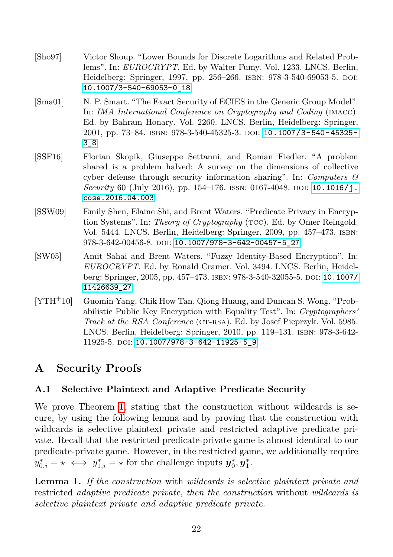- <span id="page-21-6"></span>[Sho97] Victor Shoup. "Lower Bounds for Discrete Logarithms and Related Problems". In: *EUROCRYPT*. Ed. by Walter Fumy. Vol. 1233. LNCS. Berlin, Heidelberg: Springer, 1997, pp. 256–266. ISBN: 978-3-540-69053-5. DOI: [10.1007/3-540-69053-0\\_18](https://doi.org/10.1007/3-540-69053-0_18).
- <span id="page-21-5"></span>[Sma01] N. P. Smart. "The Exact Security of ECIES in the Generic Group Model". In: *IMA International Conference on Cryptography and Coding* (imacc). Ed. by Bahram Honary. Vol. 2260. LNCS. Berlin, Heidelberg: Springer, 2001, pp. 73–84. isbn: 978-3-540-45325-3. doi: [10.1007/3- 540- 45325-](https://doi.org/10.1007/3-540-45325-3_8) [3\\_8](https://doi.org/10.1007/3-540-45325-3_8).
- <span id="page-21-2"></span>[SSF16] Florian Skopik, Giuseppe Settanni, and Roman Fiedler. "A problem shared is a problem halved: A survey on the dimensions of collective cyber defense through security information sharing". In: *Computers & Security* 60 (July 2016), pp. 154–176. ISSN: 0167-4048. DOI: [10.1016/j.](https://doi.org/10.1016/j.cose.2016.04.003) [cose.2016.04.003](https://doi.org/10.1016/j.cose.2016.04.003).
- <span id="page-21-1"></span>[SSW09] Emily Shen, Elaine Shi, and Brent Waters. "Predicate Privacy in Encryption Systems". In: *Theory of Cryptography* (TCC). Ed. by Omer Reingold. Vol. 5444. LNCS. Berlin, Heidelberg: Springer, 2009, pp. 457–473. isbn: 978-3-642-00456-8. doi: [10.1007/978-3-642-00457-5\\_27](https://doi.org/10.1007/978-3-642-00457-5_27).
- <span id="page-21-0"></span>[SW05] Amit Sahai and Brent Waters. "Fuzzy Identity-Based Encryption". In: *EUROCRYPT*. Ed. by Ronald Cramer. Vol. 3494. LNCS. Berlin, Heidelberg: Springer, 2005, pp. 457–473. isbn: 978-3-540-32055-5. doi: [10.1007/](https://doi.org/10.1007/11426639_27) [11426639\\_27](https://doi.org/10.1007/11426639_27).
- <span id="page-21-3"></span>[YTH<sup>+</sup>10] Guomin Yang, Chik How Tan, Qiong Huang, and Duncan S. Wong. "Probabilistic Public Key Encryption with Equality Test". In: *Cryptographers' Track at the RSA Conference* (CT-RSA). Ed. by Josef Pieprzyk. Vol. 5985. LNCS. Berlin, Heidelberg: Springer, 2010, pp. 119–131. isbn: 978-3-642- 11925-5. doi: [10.1007/978-3-642-11925-5\\_9](https://doi.org/10.1007/978-3-642-11925-5_9).

# <span id="page-21-4"></span>**A Security Proofs**

# **A.1 Selective Plaintext and Adaptive Predicate Security**

We prove Theorem [1,](#page-12-0) stating that the construction without wildcards is secure, by using the following lemma and by proving that the construction with wildcards is selective plaintext private and restricted adaptive predicate private. Recall that the restricted predicate-private game is almost identical to our predicate-private game. However, in the restricted game, we additionally require  $y_{0,i}^* = \star \iff y_{1,i}^* = \star$  for the challenge inputs  $y_0^*, y_1^*.$ 

**Lemma 1.** *If the construction* with *wildcards is selective plaintext private and* restricted *adaptive predicate private, then the construction* without *wildcards is selective plaintext private and adaptive predicate private.*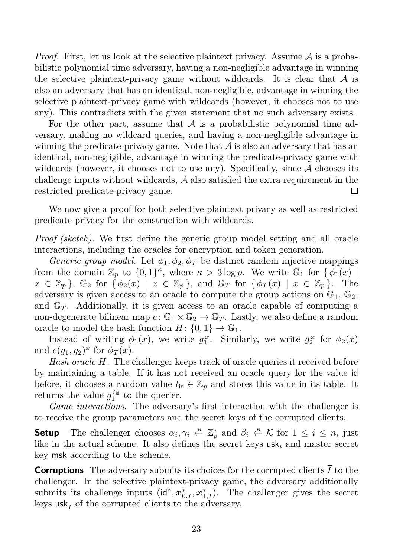*Proof.* First, let us look at the selective plaintext privacy. Assume A is a probabilistic polynomial time adversary, having a non-negligible advantage in winning the selective plaintext-privacy game without wildcards. It is clear that  $A$  is also an adversary that has an identical, non-negligible, advantage in winning the selective plaintext-privacy game with wildcards (however, it chooses not to use any). This contradicts with the given statement that no such adversary exists.

For the other part, assume that  $A$  is a probabilistic polynomial time adversary, making no wildcard queries, and having a non-negligible advantage in winning the predicate-privacy game. Note that  $A$  is also an adversary that has an identical, non-negligible, advantage in winning the predicate-privacy game with wildcards (however, it chooses not to use any). Specifically, since  $A$  chooses its challenge inputs without wildcards,  $A$  also satisfied the extra requirement in the restricted predicate-privacy game.  $\Box$ 

We now give a proof for both selective plaintext privacy as well as restricted predicate privacy for the construction with wildcards.

*Proof (sketch).* We first define the generic group model setting and all oracle interactions, including the oracles for encryption and token generation.

*Generic group model.* Let  $\phi_1, \phi_2, \phi_T$  be distinct random injective mappings from the domain  $\mathbb{Z}_p$  to  $\{0,1\}^{\kappa}$ , where  $\kappa > 3 \log p$ . We write  $\mathbb{G}_1$  for  $\{\phi_1(x)$  $x \in \mathbb{Z}_p$ ,  $\mathbb{G}_2$  for  $\{\phi_2(x) \mid x \in \mathbb{Z}_p\}$ , and  $\mathbb{G}_T$  for  $\{\phi_T(x) \mid x \in \mathbb{Z}_p\}$ . The adversary is given access to an oracle to compute the group actions on  $\mathbb{G}_1$ ,  $\mathbb{G}_2$ , and  $\mathbb{G}_T$ . Additionally, it is given access to an oracle capable of computing a non-degenerate bilinear map  $e: \mathbb{G}_1 \times \mathbb{G}_2 \to \mathbb{G}_T$ . Lastly, we also define a random oracle to model the hash function  $H: \{0, 1\} \to \mathbb{G}_1$ .

Instead of writing  $\phi_1(x)$ , we write  $g_1^x$ . Similarly, we write  $g_2^x$  for  $\phi_2(x)$ and  $e(g_1, g_2)^x$  for  $\phi_T(x)$ .

*Hash oracle H.* The challenger keeps track of oracle queries it received before by maintaining a table. If it has not received an oracle query for the value id before, it chooses a random value  $t_{\text{id}} \in \mathbb{Z}_p$  and stores this value in its table. It returns the value  $g_1^{t_{\text{id}}}$  to the querier.

*Game interactions.* The adversary's first interaction with the challenger is to receive the group parameters and the secret keys of the corrupted clients.

**Setup** The challenger chooses  $\alpha_i, \gamma_i \leftarrow R \mathbb{Z}_p^*$  and  $\beta_i \leftarrow R \mathcal{K}$  for  $1 \leq i \leq n$ , just like in the actual scheme. It also defines the secret keys  $\mathsf{usk}_i$  and master secret key msk according to the scheme.

**Corruptions** The adversary submits its choices for the corrupted clients  $\overline{I}$  to the challenger. In the selective plaintext-privacy game, the adversary additionally submits its challenge inputs  $(\mathsf{id}^*, \mathbf{x}_{0,I}^*, \mathbf{x}_{1,I}^*)$ . The challenger gives the secret keys  ${\sf usk}_{\overline{I}}$  of the corrupted clients to the adversary.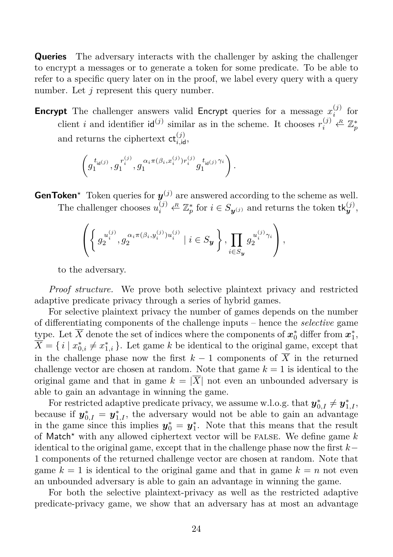**Queries** The adversary interacts with the challenger by asking the challenger to encrypt a messages or to generate a token for some predicate. To be able to refer to a specific query later on in the proof, we label every query with a query number. Let *j* represent this query number.

**Encrypt** The challenger answers valid Encrypt queries for a message  $x_i^{(j)}$  for client *i* and identifier  $\mathsf{id}^{(j)}$  similar as in the scheme. It chooses  $r_i^{(j)} \leftarrow \mathbb{Z}_p^*$ and returns the ciphertext  $ct_{i, id}^{(j)}$ ,

$$
\left(g_1^{t_{\mathrm{id}(j)}},g_1^{r_i^{(j)}},g_1^{\alpha_i\pi(\beta_i,x_i^{(j)})r_i^{(j)}}g_1^{t_{\mathrm{id}(j)}\gamma_i}\right).
$$

**GenToken**<sup>\*</sup> Token queries for  $y^{(j)}$  are answered according to the scheme as well. The challenger chooses  $u_i^{(j)} \leftarrow \mathbb{Z}_p^*$  for  $i \in S_{\mathbf{y}^{(j)}}$  and returns the token  $\mathsf{tk}_{\mathbf{y}}^{(j)}$ ,

$$
\left(\left\{g_2^{u_i^{(j)}},g_2^{\alpha_i\pi(\beta_i,y_i^{(j)})u_i^{(j)}}\mid i\in S_{\pmb{y}}\right\},\prod_{i\in S_{\pmb{y}}}g_2^{u_i^{(j)}\gamma_i}\right),
$$

to the adversary.

*Proof structure.* We prove both selective plaintext privacy and restricted adaptive predicate privacy through a series of hybrid games.

For selective plaintext privacy the number of games depends on the number of differentiating components of the challenge inputs – hence the *selective* game type. Let  $\overline{X}$  denote the set of indices where the components of  $\boldsymbol{x}_0^*$  differ from  $\boldsymbol{x}_1^*$ ,  $\overline{X} = \{ i \mid x_{0,i}^* \neq x_{1,i}^* \}.$  Let game *k* be identical to the original game, except that in the challenge phase now the first  $k-1$  components of  $\overline{X}$  in the returned challenge vector are chosen at random. Note that game  $k = 1$  is identical to the original game and that in game  $k = |\overline{X}|$  not even an unbounded adversary is able to gain an advantage in winning the game.

For restricted adaptive predicate privacy, we assume w.l.o.g. that  $y_{0,I}^* \neq y_{1,I}^*$ , because if  $y_{0,I}^* = y_{1,I}^*$ , the adversary would not be able to gain an advantage in the game since this implies  $y_0^* = y_1^*$ . Note that this means that the result of Match*?* with any allowed ciphertext vector will be false. We define game *k* identical to the original game, except that in the challenge phase now the first *k*− 1 components of the returned challenge vector are chosen at random. Note that game  $k = 1$  is identical to the original game and that in game  $k = n$  not even an unbounded adversary is able to gain an advantage in winning the game.

For both the selective plaintext-privacy as well as the restricted adaptive predicate-privacy game, we show that an adversary has at most an advantage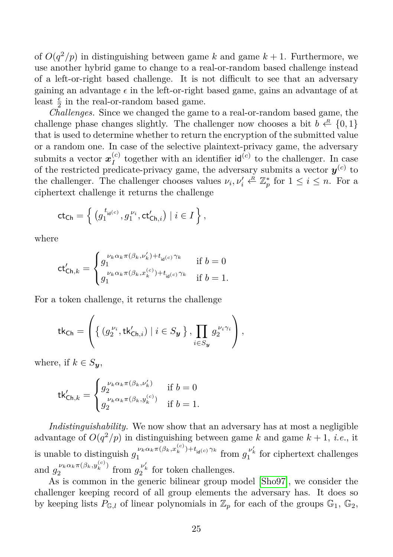of  $O(q^2/p)$  in distinguishing between game  $k$  and game  $k+1$ . Furthermore, we use another hybrid game to change to a real-or-random based challenge instead of a left-or-right based challenge. It is not difficult to see that an adversary gaining an advantage  $\epsilon$  in the left-or-right based game, gains an advantage of at least  $\frac{\epsilon}{2}$  in the real-or-random based game.

*Challenges.* Since we changed the game to a real-or-random based game, the challenge phase changes slightly. The challenger now chooses a bit  $b \stackrel{R}{\leftarrow} \{0,1\}$ that is used to determine whether to return the encryption of the submitted value or a random one. In case of the selective plaintext-privacy game, the adversary submits a vector  $x_I^{(c)}$  $I_I^{(c)}$  together with an identifier  $\mathsf{id}^{(c)}$  to the challenger. In case of the restricted predicate-privacy game, the adversary submits a vector  $y^{(c)}$  to the challenger. The challenger chooses values  $\nu_i, \nu'_i \stackrel{R}{\leftarrow} \mathbb{Z}_p^*$  for  $1 \leq i \leq n$ . For a ciphertext challenge it returns the challenge

$$
\mathsf{ct}_{\mathsf{Ch}} = \left\{ \left( g_1^{t_{\mathsf{id}^{(c)}}}, g_1^{\nu_i}, \mathsf{ct}'_{\mathsf{Ch},i} \right) \mid i \in I \right\},\
$$

where

$$
\operatorname{ct}_{\mathrm{Ch},k}'=\begin{cases}g_1^{\nu_k\alpha_k\pi(\beta_k,\nu_k')+t_{\operatorname{id}(c)}\gamma_k}&\text{if }b=0\\ g_1^{\nu_k\alpha_k\pi(\beta_k,x_k^{(c)})+t_{\operatorname{id}(c)}\gamma_k}&\text{if }b=1.\end{cases}
$$

For a token challenge, it returns the challenge

$$
\mathsf{tk}_{\mathsf{Ch}} = \left( \left\{ \left( g_2^{\nu_i}, \mathsf{tk}'_{\mathsf{Ch},i} \right) \mid i \in S_{\boldsymbol{y}} \right\}, \prod_{i \in S_{\boldsymbol{y}}} g_2^{\nu_i \gamma_i} \right),
$$

where, if  $k \in S_{\mathbf{y}}$ ,

$$
\operatorname{tk}'_{\operatorname{Ch},k} = \begin{cases} g_2^{\nu_k\alpha_k\pi(\beta_k,\nu'_k)} & \text{if } b = 0 \\ g_2^{\nu_k\alpha_k\pi(\beta_k,y_k^{(c)})} & \text{if } b = 1. \end{cases}
$$

*Indistinguishability.* We now show that an adversary has at most a negligible advantage of  $O(q^2/p)$  in distinguishing between game k and game  $k + 1$ , *i.e.*, it is unable to distinguish  $g_1^{\nu_k \alpha_k \pi(\beta_k, x_k^{(c)}) + t_{\text{id}(c)} \gamma_k}$  from  $g_1^{\nu'_k}$  for ciphertext challenges and  $g_2^{\nu_k \alpha_k \pi(\beta_k, y_k^{(c)})}$  $\frac{\nu_k \alpha_k \pi(\beta_k, y_k^{(c)})}{2}$  from  $g_2^{\nu'_k}$  for token challenges.

As is common in the generic bilinear group model [\[Sho97\]](#page-21-6), we consider the challenger keeping record of all group elements the adversary has. It does so by keeping lists  $P_{\mathbb{G},l}$  of linear polynomials in  $\mathbb{Z}_p$  for each of the groups  $\mathbb{G}_1$ ,  $\mathbb{G}_2$ ,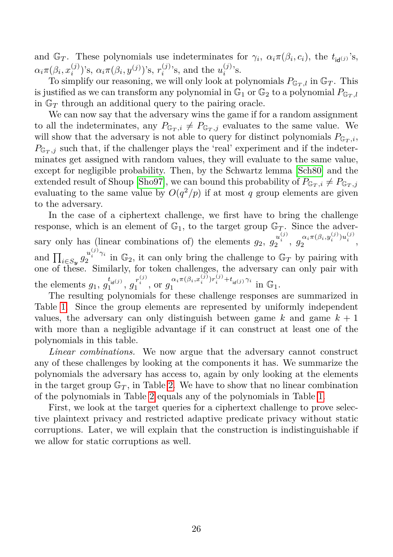and  $\mathbb{G}_T$ . These polynomials use indeterminates for  $\gamma_i$ ,  $\alpha_i \pi(\beta_i, c_i)$ , the  $t_{\mathsf{id}^{(j)}}$ 's,  $\alpha_i \pi(\beta_i, x_i^{(j)})$ 's,  $\alpha_i \pi(\beta_i, y^{(j)})$ 's,  $r_i^{(j)}$ 's, and the  $u_i^{(j)}$ 's.

To simplify our reasoning, we will only look at polynomials  $P_{\mathbb{G}_T,l}$  in  $\mathbb{G}_T$ . This is justified as we can transform any polynomial in  $\mathbb{G}_1$  or  $\mathbb{G}_2$  to a polynomial  $P_{\mathbb{G}_T,l}$ in G*<sup>T</sup>* through an additional query to the pairing oracle.

We can now say that the adversary wins the game if for a random assignment to all the indeterminates, any  $P_{\mathbb{G}_T,i} \neq P_{\mathbb{G}_T,j}$  evaluates to the same value. We will show that the adversary is not able to query for distinct polynomials  $P_{\mathbb{G}_T,i}$ ,  $P_{\mathbb{G}_T, j}$  such that, if the challenger plays the 'real' experiment and if the indeterminates get assigned with random values, they will evaluate to the same value, except for negligible probability. Then, by the Schwartz lemma [\[Sch80\]](#page-20-9) and the extended result of Shoup [\[Sho97\]](#page-21-6), we can bound this probability of  $P_{\mathbb{G}_T,i} \neq P_{\mathbb{G}_T,j}$ evaluating to the same value by  $O(q^2/p)$  if at most *q* group elements are given to the adversary.

In the case of a ciphertext challenge, we first have to bring the challenge response, which is an element of  $\mathbb{G}_1$ , to the target group  $\mathbb{G}_T$ . Since the adversary only has (linear combinations of) the elements  $g_2$ ,  $g_2^{u_i^{(j)}}$ ,  $g_2^{\alpha_i \pi(\beta_i, y_i^{(j)})u_i^{(j)}}$ , and  $\prod_{i \in S_{\boldsymbol{y}}} g_2^{u_i^{(j)} \gamma_i}$  $\mathbb{G}_2^{u_i^{(3)}\gamma_i}$  in  $\mathbb{G}_2$ , it can only bring the challenge to  $\mathbb{G}_T$  by pairing with one of these. Similarly, for token challenges, the adversary can only pair with the elements  $g_1, g_1^{t_{\text{id}}(j)}, g_1^{r_i^{(j)}}, \text{or } g_1^{\alpha_i \pi(\beta_i, x_i^{(j)}) r_i^{(j)} + t_{\text{id}}(j) \gamma_i}$  in  $\mathbb{G}_1$ .

The resulting polynomials for these challenge responses are summarized in Table [1.](#page-26-0) Since the group elements are represented by uniformly independent values, the adversary can only distinguish between game  $k$  and game  $k + 1$ with more than a negligible advantage if it can construct at least one of the polynomials in this table.

*Linear combinations.* We now argue that the adversary cannot construct any of these challenges by looking at the components it has. We summarize the polynomials the adversary has access to, again by only looking at the elements in the target group  $\mathbb{G}_T$ , in Table [2.](#page-26-1) We have to show that no linear combination of the polynomials in Table [2](#page-26-1) equals any of the polynomials in Table [1.](#page-26-0)

First, we look at the target queries for a ciphertext challenge to prove selective plaintext privacy and restricted adaptive predicate privacy without static corruptions. Later, we will explain that the construction is indistinguishable if we allow for static corruptions as well.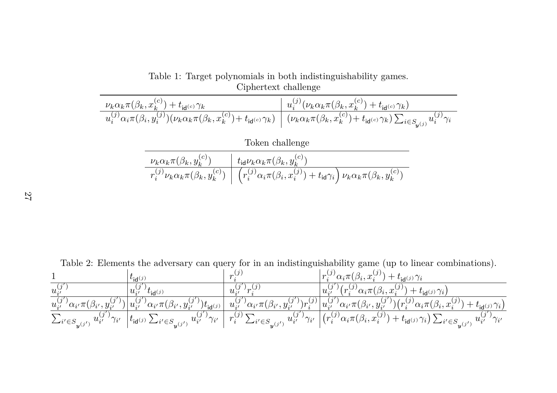| Ciphertext challenge                                                                                                                                                                                                                                         |                                                                                      |
|--------------------------------------------------------------------------------------------------------------------------------------------------------------------------------------------------------------------------------------------------------------|--------------------------------------------------------------------------------------|
| $\nu_k \alpha_k \pi(\beta_k, x_k^{(c)}) + t_{\mathsf{id}^{(c)}} \gamma_k$                                                                                                                                                                                    | $u_i^{(j)}(\nu_k \alpha_k \pi(\beta_k, x_k^{(c)}) + t_{\mathsf{id}^{(c)}} \gamma_k)$ |
| $\overline{u_i^{(j)}\alpha_i\pi(\beta_i,y_i^{(j)})(\nu_k\alpha_k\pi(\beta_k,x_k^{(c)})+t_{\mathsf{id}^{(c)}}\gamma_k)\ \big \ \ (\nu_k\alpha_k\pi(\beta_k,x_k^{(c)})+t_{\mathsf{id}^{(c)}}\gamma_k)\sum\nolimits_{i\in S_{\mathsf{u}(i)}}u_i^{(j)}\gamma_i}$ |                                                                                      |
| Token challenge                                                                                                                                                                                                                                              |                                                                                      |
| $\nu_k \alpha_k \pi(\beta_k, y^{(c)}_k)$<br>$t_{\mathsf{id}} \nu_k \alpha_k \pi(\beta_k, y_k^{(c)})$                                                                                                                                                         |                                                                                      |
| $r_i^{(j)} \nu_k \alpha_k \pi(\beta_k, y_k^{(c)}) \ \Big  \ \left( r_i^{(j)} \alpha_i \pi(\beta_i, x_i^{(j)}) + t_{\mathsf{id}} \gamma_i \right) \nu_k \alpha_k \pi(\beta_k, y_k^{(c)})$                                                                     |                                                                                      |

<span id="page-26-1"></span><span id="page-26-0"></span>Table 1: Target polynomials in both indistinguishability games.

11  $t_{\mathsf{id}^{(j)}}$  $\binom{(j')}{i'} t_{\mathsf{id}^{(j)}}$  $r$  and  $r$  $u_{i^\prime}^{(j^\prime)}r_i^{(j)}$ (*j*) *i* $r_i^{(j)} \alpha_i \pi(\beta_i, x_i^{(j)}) +$  $\frac{t_{\rm ic}}{t_{\rm i}^2}$ (*j*) *γ<sup>i</sup>u*  $\begin{array}{c|c}\n\sqrt{(j')} & u \\
\sqrt{(j')} & \sqrt{(j')} & u\n\end{array}$  $\int u_{i'}^{(j')} \alpha_{i'} \pi(\beta_{i'}, y_{i'}^{(j')}) t_{\mathsf{id}^{(j)}}$  $\vert u \vert$  $u_i, r_i$   $u_i$  $\overline{u^{(j')}_{i'}\alpha_{i'}\pi(\beta_{i'},y^{(j')}_{i'})}$ (*j i*00 $(r_i^{(j)}$  $\alpha_i^{(j)} \alpha_i \pi(\beta_i, x_i^{(j)})$  $\frac{(j)}{i}$  +  $t_{\mathsf{id}^{(j)}} \gamma_i$  $u_{i'}^{(j')}$  $\sum_{i' \in S_{\bm{y}^{(j')}}} u_{i'}^{(j)}$  $\phi^{(j')}\alpha_{i'}\pi(\beta_{i'},y_{i'}^{(j')})$  $\sum_{i' \in S_{y^{(j')}}}$  $\frac{f^{(j)}}{f^{(j)}}\gamma_{i'}$ *u*<sub>*i'*</sub></sub>  $\alpha_{i'}\pi(\beta_{i'}, y_{i'}^{(j')})r_i^{(j)}$ *u*  $r \mid r_i$  $\sum_{i' \in S_{\boldsymbol{y}}(j')}$  $(r_i^{(j)}\alpha_i\pi(\beta_i, x_i^{(j)})$  $(r_i^{(j)} \alpha_i \pi(\beta_i, x_i^{(j)}) +$  $x_i^{(J)}$  +  $t_{\text{ic}}$ (*j*) *γ<sup>i</sup>*J  $\frac{(j')}{i'}\gamma_i$ ) $\prime$   $\vert t_{\mathsf{id}^{(j)}}$ *u*  $\overline{\left(j'\right)}$ )(*j*) *i u*  $\overline{(j'}_i)$  $(\frac{j^{\prime}}{\prime})_{\gamma_{i^{\prime}}}$  $(a_i^{(j)}\alpha_i\pi(\beta_i, x_i^{(j)}) +$  $t_{\mathsf{ic}}$ (*j*) *γ<sup>i</sup>* $\sum_{i' \in S_{\bm y^{(j')}}}$ *u*(*j*)*iγ<sup>i</sup>*0

Table 2: Elements the adversary can query for in an indistinguishability game (up to linear combinations).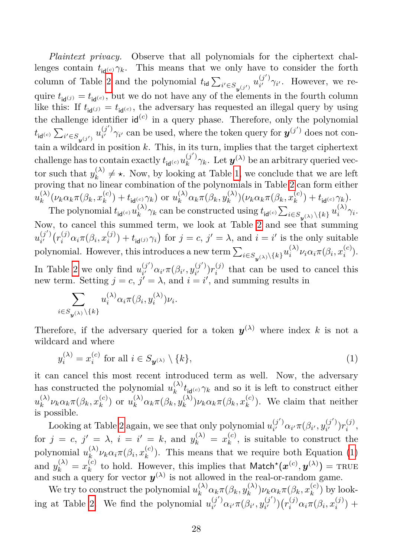*Plaintext privacy.* Observe that all polynomials for the ciphertext challenges contain  $t_{\mathsf{id}^{(c)}} \gamma_k$ . This means that we only have to consider the forth column of Table [2](#page-26-1) and the polynomial  $t_{\mathsf{id}} \sum_{i' \in S_{\mathbf{y}^{(j')}}} u_{i'}^{(j')}$  $\hat{v}^{(j)}_i$ <sup>2</sup> $\gamma_{i'}$ . However, we require  $t_{\text{id}(j)} = t_{\text{id}(c)}$ , but we do not have any of the elements in the fourth column like this: If  $t_{\text{id}(i)} = t_{\text{id}(i)}$ , the adversary has requested an illegal query by using the challenge identifier  $\mathsf{id}^{(c)}$  in a query phase. Therefore, only the polynomial  $t_{\mathsf{id}^{(c)}}\sum_{i'\in S_{\bm y^{(j')}}}u_{i'}^{(j')}$  $(i')\gamma_{i'}$  can be used, where the token query for  $y^{(j')}$  does not contain a wildcard in position  $k$ . This, in its turn, implies that the target ciphertext  $\mathop{\rm challenge}$  has to contain exactly  $t_{\mathop{\rm id}\nolimits^{(c)}}u_k^{(j')}$  $\left(\frac{f}{k}\right)^{j}$ <sub>*k*</sub>. Let  $y^{(\lambda)}$  be an arbitrary queried vector such that  $y_k^{(\lambda)}$  $k_k^{(A)} \neq \star$ . Now, by looking at Table [1,](#page-26-0) we conclude that we are left proving that no linear combination of the polynomials in Table [2](#page-26-1) can form either  $u_k^{(\lambda)}$  $\binom{\lambda}{k}(\nu_k \alpha_k \pi(\beta_k, x_k^{(c)})$  $h_k^{(c)}$ ) +  $t_{\mathsf{id}^{(c)}\gamma_k}$ ) or  $u_k^{(\lambda)}\alpha_k \pi(\beta_k, y_k^{(\lambda)})$  $(\nu_k^{(\lambda)})(\nu_k \alpha_k \pi(\beta_k, x_k^{(c)})$  ${k^{(c)}\choose k} + t_{\sf id}$ <sub>(*c*)</sub>  $\gamma_k$ ). The polynomial  $t_{\mathsf{id}^{(c)}} u_k^{(\lambda)}$ 

 $\sum_{i \in S} f_i(\lambda) \gamma_k$  can be constructed using  $t_{\mathsf{id}^{(c)}} \sum_{i \in S_{\mathbf{y}(\lambda)} \setminus \{k\}} u_i^{(\lambda)} \gamma_i$ . Now, to cancel this summed term, we look at Table [2](#page-26-1) and see that summing  $u_{i^{\prime}}^{(j^{\prime})}$  $\binom{(j')}{i'} (r_i^{(j)} \alpha_i \pi(\beta_i, x_i^{(j)}) + t_{\mathsf{id}^{(j)}} \gamma_i)$  for  $j = c, j' = \lambda$ , and  $i = i'$  is the only suitable polynomial. However, this introduces a new term  $\sum_{i \in S_{\bm y}(\lambda) \setminus \{k\}} u_i^{(\lambda)} \nu_i \alpha_i \pi(\beta_i, x_i^{(c)})$ . In Table [2](#page-26-1) we only find  $u_{i'}^{(j')}$  $\alpha_{i'}^{(j')}$   $\alpha_{i'}$   $\pi(\beta_{i'}, y_{i'}^{(j')})$  $\binom{(j')}{i'}$  that can be used to cancel this

new term. Setting 
$$
j = c
$$
,  $j' = \lambda$ , and  $i = i'$ , and summing results in  
\n
$$
\sum_{i} u_i^{(\lambda)} \alpha_i \pi(\beta_i, y_i^{(\lambda)}) \nu_i.
$$

$$
\sum_{i \in S_{\bm{y}(\lambda)} \setminus \{k\}} u_i^{(\lambda)} \alpha_i \pi(\beta_i, y_i^{(\lambda)}) \nu_i
$$

Therefore, if the adversary queried for a token  $y^{(\lambda)}$  where index k is not a wildcard and where

<span id="page-27-0"></span>
$$
y_i^{(\lambda)} = x_i^{(c)} \text{ for all } i \in S_{\mathbf{y}^{(\lambda)}} \setminus \{k\},\tag{1}
$$

it can cancel this most recent introduced term as well. Now, the adversary has constructed the polynomial  $u_k^{(\lambda)}$  $\chi^{(\lambda)}_k t_{\text{id}}(c) \gamma_k$  and so it is left to construct either  $u_k^{(\lambda)}$ *k*<sup>*ν*</sup> $\nu_k \alpha_k \pi(\beta_k, x_k^{(c)})$  $\binom{c}{k}$  or  $u_k^{(\lambda)} \alpha_k \pi(\beta_k, y_k^{(\lambda)})$ *k*<sup>(λ)</sup>) $\nu_k \alpha_k \pi(\beta_k, x_k^{(c)})$  $k^{(c)}$ ). We claim that neither is possible.

Looking at Table [2](#page-26-1) again, we see that only polynomial  $u_{i'}^{(j')}$  $\alpha_{i'}^{(j')}$  $\alpha_{i'}$ π $(\beta_{i'}, y_{i'}^{(j')}$  $(r_i^{(j')})r_i^{(j)},$ for  $j = c, j' = \lambda, i = i' = k$ , and  $y_k^{(\lambda)} = x_k^{(c)}$  $k^{(c)}$ , is suitable to construct the polynomial  $u_k^{(\lambda)}$  $\frac{d^{( \lambda)}_k}{k} \nu_k \alpha_i \pi(\beta_i, x_k^{(c)})$  $k<sup>(c)</sup>$ ). This means that we require both Equation [\(1\)](#page-27-0) and  $y_k^{(\lambda)} = x_k^{(c)}$  $\mathbf{F}_k^{(c)}$  to hold. However, this implies that  $\mathsf{Match}^{\star}(\boldsymbol{x}^{(c)}, \boldsymbol{y}^{(\lambda)}) = \text{TRUE}$ and such a query for vector  $y^{(\lambda)}$  is not allowed in the real-or-random game.

We try to construct the polynomial  $u_k^{(\lambda)} \alpha_k \pi(\beta_k, y_k^{(\lambda)})$ *k*<sup>(λ)</sup>) $\nu_k \alpha_k \pi(\beta_k, x_k^{(c)})$  $\binom{c}{k}$  by look-ing at Table [2.](#page-26-1) We find the polynomial  $u_{i'}^{(j')}$  $\alpha_{i'}^{(j')}$  $\alpha_{i'}$ π $(\beta_{i'}, y_{i'}^{(j')}$  $(r_i^{(j')}) (r_i^{(j)} \alpha_i \pi(\beta_i, x_i^{(j)}) +$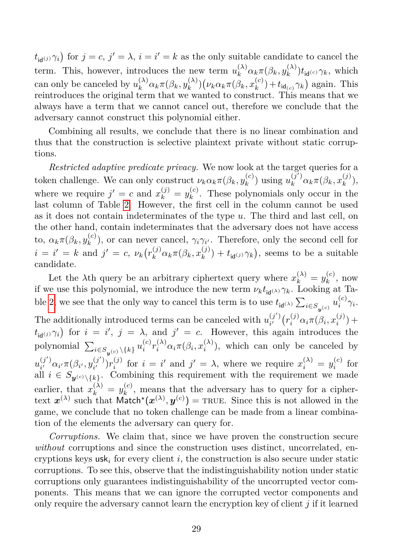$t_{\mathsf{id}^{(j)}} \gamma_i$  for  $j = c, j' = \lambda, i = i' = k$  as the only suitable candidate to cancel the term. This, however, introduces the new term  $u_k^{(\lambda)} \alpha_k \pi(\beta_k, y_k^{(\lambda)}) t_{\mathsf{id}^{(c)}} \gamma_k$ , which *k* can only be canceled by  $u_k^{(\lambda)} \alpha_k \pi(\beta_k, y_k^{(\lambda)})$  $(\nu_k \alpha_k \pi(\beta_k, x_k^{(c)})$  $f_k^{(c)}$  +  $t_{\mathsf{id}_{(c)}} \gamma_k$  again. This reintroduces the original term that we wanted to construct. This means that we always have a term that we cannot cancel out, therefore we conclude that the adversary cannot construct this polynomial either.

Combining all results, we conclude that there is no linear combination and thus that the construction is selective plaintext private without static corruptions.

*Restricted adaptive predicate privacy.* We now look at the target queries for a token challenge. We can only construct  $\nu_k \alpha_k \pi(\beta_k, y_k^{(c)})$ *k*<sup>(*c*)</sup>) using  $u_k^{(j')}\alpha_k \pi(\beta_k, x_k^{(j)})$  $\binom{J}{k}$ where we require  $j' = c$  and  $x_k^{(j)} = y_k^{(c)}$  $k<sup>(c)</sup>$ . These polynomials only occur in the last column of Table [2.](#page-26-1) However, the first cell in the column cannot be used as it does not contain indeterminates of the type *u*. The third and last cell, on the other hand, contain indeterminates that the adversary does not have access to,  $\alpha_k \pi(\beta_k, y_k^{(c)})$  $\chi_k^{(c)}$ ), or can never cancel,  $\gamma_i \gamma_{i'}$ . Therefore, only the second cell for  $i = i' = k$  and  $j' = c$ ,  $\nu_k (r_k^{(j)} \alpha_k \pi(\beta_k, x_k^{(j)})$  $f_k^{(j)}$  +  $t_{\mathsf{id}^{(j)}} \gamma_k$ , seems to be a suitable candidate.

Let the  $\lambda$ th query be an arbitrary ciphertext query where  $x_k^{(\lambda)} = y_k^{(c)}$  $\mathbf{v}_k^{(c)}$ , now if we use this polynomial, we introduce the new term  $\nu_k t_{i,d(\lambda)} \gamma_k$ . Looking at Ta-ble [2,](#page-26-1) we see that the only way to cancel this term is to use  $t_{\mathsf{id}^{(\lambda)}} \sum_{i \in S_{\mathbf{y}^{(c)}}} u_i^{(c)} \gamma_i$ . The additionally introduced terms can be canceled with  $u_{i'}^{(j')}$  $\int_{i'}^{(j')} (r_i^{(j)} \alpha_i \pi(\beta_i, x_i^{(j)}) +$  $t_{\mathsf{id}^{(j)}} \gamma_i$  for  $i = i'$ ,  $j = \lambda$ , and  $j' = c$ . However, this again introduces the polynomial  $\sum_{i \in S_{\mathbf{y}(c)} \backslash \{k\}} u_i^{(c)} r_i^{(\lambda)} \alpha_i \pi(\beta_i, x_i^{(\lambda)})$ , which can only be canceled by  $u_{i'}^{(j')}$  $\alpha_{i'}^{(j')}$  $\alpha_{i'} \pi(\beta_{i'}, y_{i'}^{(j')})$  $j' = \lambda$ , where we require  $x_i^{(\lambda)} = y_i^{(c)}$  for all  $i \in S_{\mathbf{y}^{(c)} \setminus \{k\}}$ . Combining this requirement with the requirement we made earlier, that  $x_k^{(\lambda)} = y_k^{(c)}$  $k_k^{(c)}$ , means that the adversary has to query for a ciphertext  $\mathbf{x}^{(\lambda)}$  such that  $\text{Match}^{\star}(\mathbf{x}^{(\lambda)}, \mathbf{y}^{(c)}) = \text{TRUE.}$  Since this is not allowed in the game, we conclude that no token challenge can be made from a linear combination of the elements the adversary can query for.

*Corruptions.* We claim that, since we have proven the construction secure *without* corruptions and since the construction uses distinct, uncorrelated, encryptions keys usk*<sup>i</sup>* for every client *i*, the construction is also secure under static corruptions. To see this, observe that the indistinguishability notion under static corruptions only guarantees indistinguishability of the uncorrupted vector components. This means that we can ignore the corrupted vector components and only require the adversary cannot learn the encryption key of client *j* if it learned